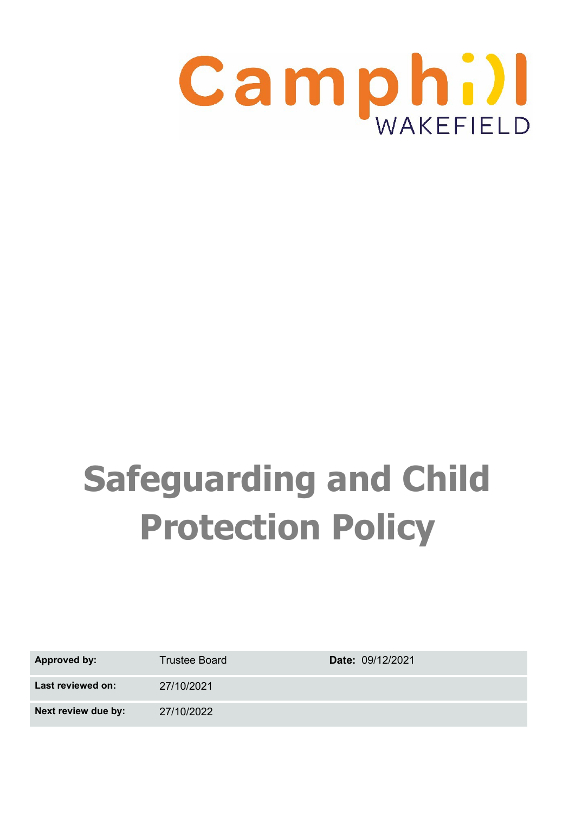

# **Safeguarding and Child Protection Policy**

| <b>Approved by:</b> | <b>Trustee Board</b> | <b>Date: 09/12/2021</b> |
|---------------------|----------------------|-------------------------|
| Last reviewed on:   | 27/10/2021           |                         |
| Next review due by: | 27/10/2022           |                         |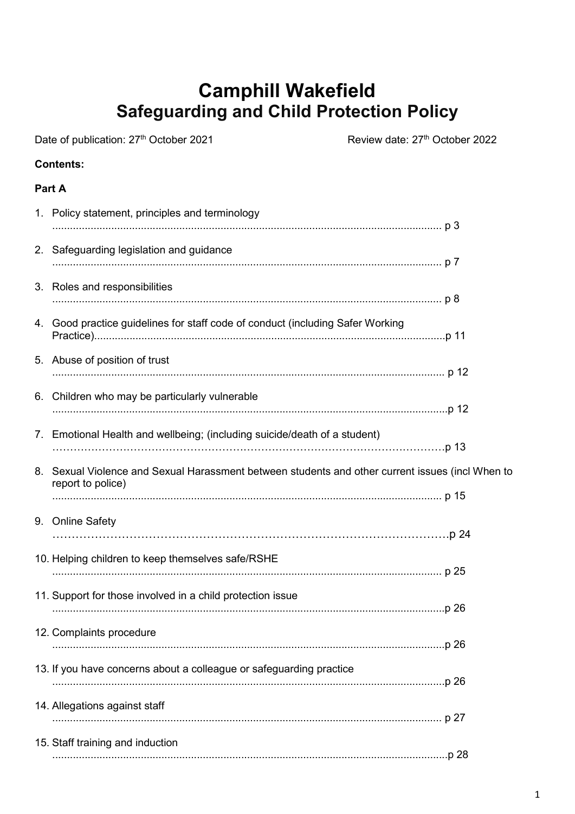## **Camphill Wakefield Safeguarding and Child Protection Policy**

Date of publication: 27<sup>th</sup> October 2021 Review date: 27<sup>th</sup> October 2022 **Contents: Part A** 1. Policy statement, principles and terminology .................................................................................................................................... p 3 2. Safeguarding legislation and guidance .................................................................................................................................... p 7 3. Roles and responsibilities .................................................................................................................................... p 8 4. Good practice guidelines for staff code of conduct (including Safer Working Practice).......................................................................................................................p 11 5. Abuse of position of trust ..................................................................................................................................... p 12 6. Children who may be particularly vulnerable ......................................................................................................................................p 12 7. Emotional Health and wellbeing; (including suicide/death of a student) …………………………………………………………………………………………………p 13 8. Sexual Violence and Sexual Harassment between students and other current issues (incl When to report to police) .................................................................................................................................... p 15 9. Online Safety ………………………………………………………………………………………….p 24 10. Helping children to keep themselves safe/RSHE .................................................................................................................................... p 25 11. Support for those involved in a child protection issue .....................................................................................................................................p 26 12. Complaints procedure .....................................................................................................................................p 26 13. If you have concerns about a colleague or safeguarding practice .....................................................................................................................................p 26 14. Allegations against staff

15. Staff training and induction ......................................................................................................................................p 28

.................................................................................................................................... p 27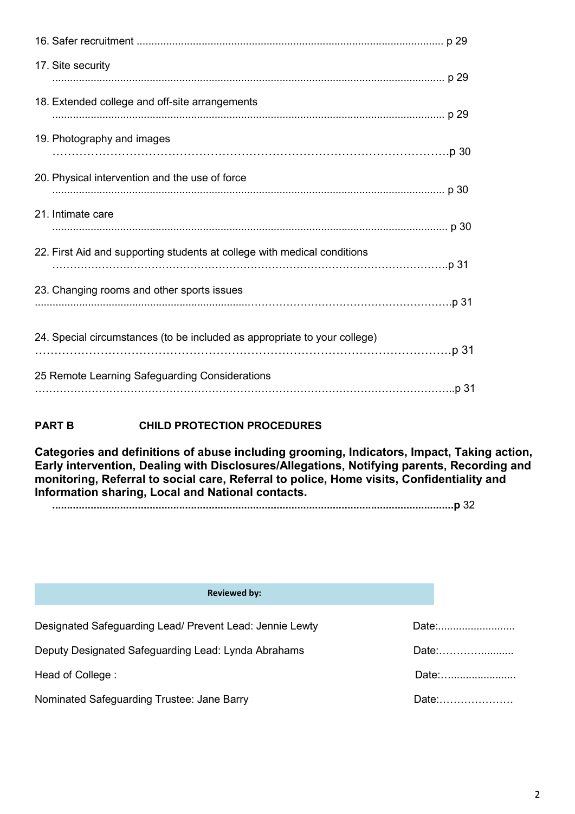| 17. Site security                                                         |  |
|---------------------------------------------------------------------------|--|
| 18. Extended college and off-site arrangements                            |  |
| 19. Photography and images                                                |  |
| 20. Physical intervention and the use of force                            |  |
| 21. Intimate care                                                         |  |
| 22. First Aid and supporting students at college with medical conditions  |  |
| 23. Changing rooms and other sports issues                                |  |
| 24. Special circumstances (to be included as appropriate to your college) |  |
| 25 Remote Learning Safeguarding Considerations                            |  |
|                                                                           |  |

#### **PART B CHILD PROTECTION PROCEDURES**

**Categories and definitions of abuse including grooming, Indicators, Impact, Taking action, Early intervention, Dealing with Disclosures/Allegations, Notifying parents, Recording and monitoring, Referral to social care, Referral to police, Home visits, Confidentiality and Information sharing, Local and National contacts.**

**........................................................................................................................................p** 32

| <b>Reviewed by:</b>                                      |                                                                                                                                                                                                                                |
|----------------------------------------------------------|--------------------------------------------------------------------------------------------------------------------------------------------------------------------------------------------------------------------------------|
| Designated Safeguarding Lead/ Prevent Lead: Jennie Lewty | Date: the contract of the contract of the contract of the contract of the contract of the contract of the contract of the contract of the contract of the contract of the contract of the contract of the contract of the cont |
| Deputy Designated Safeguarding Lead: Lynda Abrahams      | Date:                                                                                                                                                                                                                          |
| Head of College:                                         | Date:                                                                                                                                                                                                                          |
| Nominated Safeguarding Trustee: Jane Barry               | Date:                                                                                                                                                                                                                          |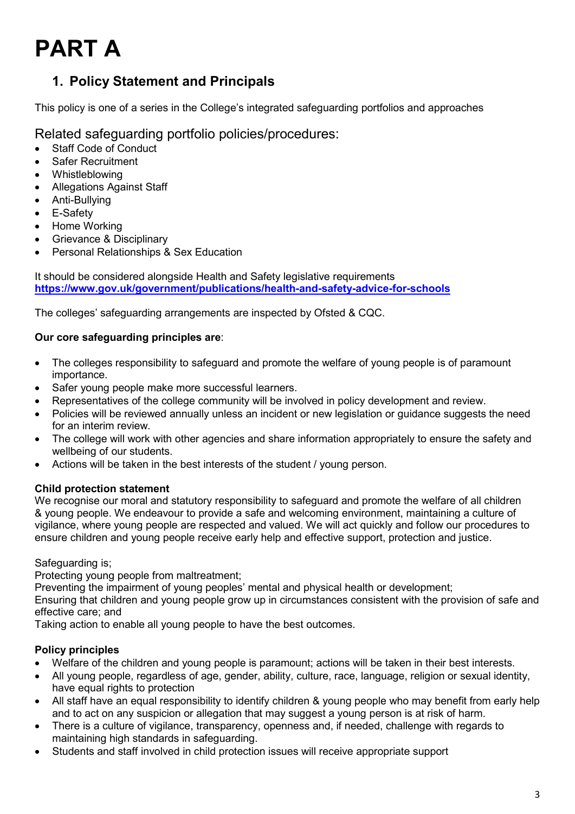## **PART A**

## **1. Policy Statement and Principals**

This policy is one of a series in the College's integrated safeguarding portfolios and approaches

#### Related safeguarding portfolio policies/procedures:

- Staff Code of Conduct
- Safer Recruitment
- **Whistleblowing**
- Allegations Against Staff
- Anti-Bullying
- E-Safety
- Home Working
- Grievance & Disciplinary
- Personal Relationships & Sex Education

It should be considered alongside Health and Safety legislative requirements **<https://www.gov.uk/government/publications/health-and-safety-advice-for-schools>**

The colleges' safeguarding arrangements are inspected by Ofsted & CQC.

#### **Our core safeguarding principles are**:

- The colleges responsibility to safeguard and promote the welfare of young people is of paramount importance.
- Safer young people make more successful learners.
- Representatives of the college community will be involved in policy development and review.
- Policies will be reviewed annually unless an incident or new legislation or guidance suggests the need for an interim review.
- The college will work with other agencies and share information appropriately to ensure the safety and wellbeing of our students.
- Actions will be taken in the best interests of the student / young person.

#### **Child protection statement**

We recognise our moral and statutory responsibility to safeguard and promote the welfare of all children & young people. We endeavour to provide a safe and welcoming environment, maintaining a culture of vigilance, where young people are respected and valued. We will act quickly and follow our procedures to ensure children and young people receive early help and effective support, protection and justice.

#### Safeguarding is;

Protecting young people from maltreatment;

Preventing the impairment of young peoples' mental and physical health or development;

Ensuring that children and young people grow up in circumstances consistent with the provision of safe and effective care; and

Taking action to enable all young people to have the best outcomes.

#### **Policy principles**

- Welfare of the children and young people is paramount; actions will be taken in their best interests.
- All young people, regardless of age, gender, ability, culture, race, language, religion or sexual identity, have equal rights to protection
- All staff have an equal responsibility to identify children & young people who may benefit from early help and to act on any suspicion or allegation that may suggest a young person is at risk of harm.
- There is a culture of vigilance, transparency, openness and, if needed, challenge with regards to maintaining high standards in safeguarding.
- Students and staff involved in child protection issues will receive appropriate support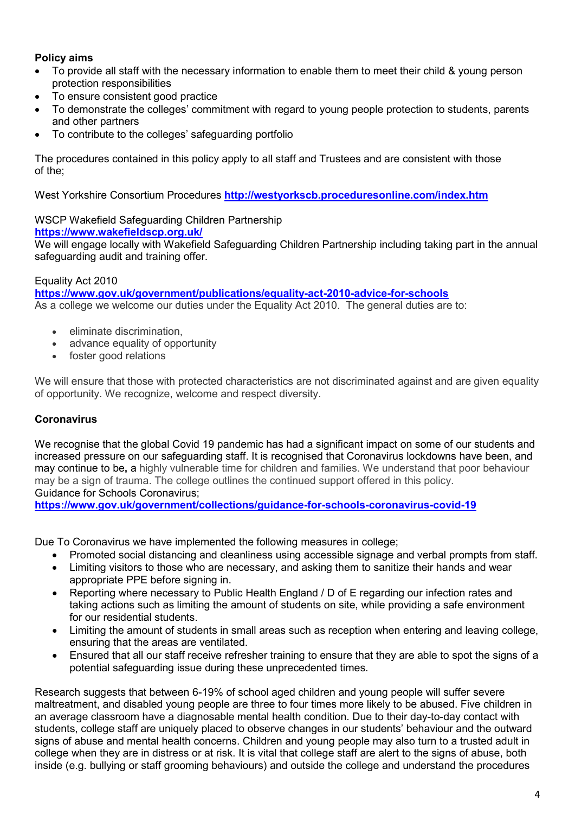#### **Policy aims**

- To provide all staff with the necessary information to enable them to meet their child & young person protection responsibilities
- To ensure consistent good practice
- To demonstrate the colleges' commitment with regard to young people protection to students, parents and other partners
- To contribute to the colleges' safeguarding portfolio

The procedures contained in this policy apply to all staff and Trustees and are consistent with those of the;

West Yorkshire Consortium Procedures **<http://westyorkscb.proceduresonline.com/index.htm>**

WSCP Wakefield Safeguarding Children Partnership **<https://www.wakefieldscp.org.uk/>**

We will engage locally with Wakefield Safeguarding Children Partnership including taking part in the annual safeguarding audit and training offer.

#### Equality Act 2010

**<https://www.gov.uk/government/publications/equality-act-2010-advice-for-schools>** As a college we welcome our duties under the Equality Act 2010. The general duties are to:

- eliminate discrimination,
- advance equality of opportunity
- foster good relations

We will ensure that those with protected characteristics are not discriminated against and are given equality of opportunity. We recognize, welcome and respect diversity.

#### **Coronavirus**

We recognise that the global Covid 19 pandemic has had a significant impact on some of our students and increased pressure on our safeguarding staff. It is recognised that Coronavirus lockdowns have been, and may continue to be**,** a highly vulnerable time for children and families. We understand that poor behaviour may be a sign of trauma. The college outlines the continued support offered in this policy. Guidance for Schools Coronavirus;

**<https://www.gov.uk/government/collections/guidance-for-schools-coronavirus-covid-19>**

Due To Coronavirus we have implemented the following measures in college;

- Promoted social distancing and cleanliness using accessible signage and verbal prompts from staff.
- Limiting visitors to those who are necessary, and asking them to sanitize their hands and wear appropriate PPE before signing in.
- Reporting where necessary to Public Health England / D of E regarding our infection rates and taking actions such as limiting the amount of students on site, while providing a safe environment for our residential students.
- Limiting the amount of students in small areas such as reception when entering and leaving college, ensuring that the areas are ventilated.
- Ensured that all our staff receive refresher training to ensure that they are able to spot the signs of a potential safeguarding issue during these unprecedented times.

Research suggests that between 6-19% of school aged children and young people will suffer severe maltreatment, and disabled young people are three to four times more likely to be abused. Five children in an average classroom have a diagnosable mental health condition. Due to their day-to-day contact with students, college staff are uniquely placed to observe changes in our students' behaviour and the outward signs of abuse and mental health concerns. Children and young people may also turn to a trusted adult in college when they are in distress or at risk. It is vital that college staff are alert to the signs of abuse, both inside (e.g. bullying or staff grooming behaviours) and outside the college and understand the procedures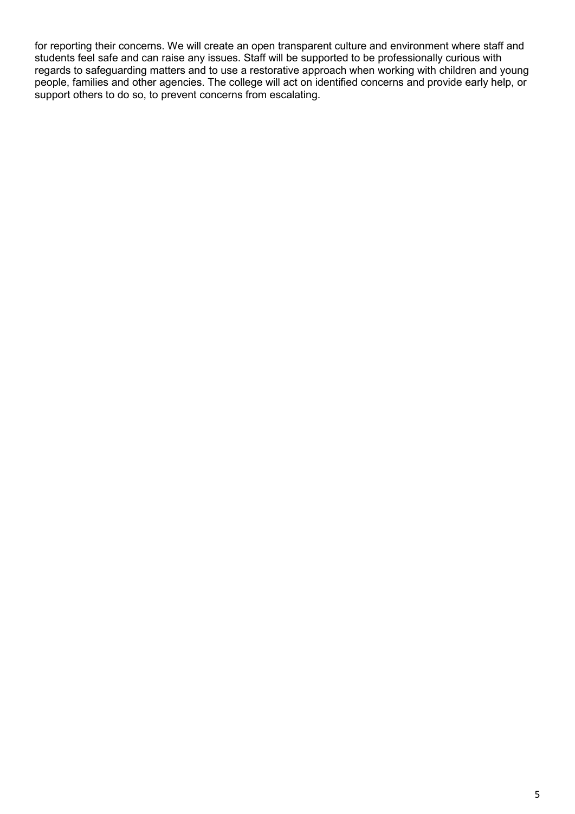for reporting their concerns. We will create an open transparent culture and environment where staff and students feel safe and can raise any issues. Staff will be supported to be professionally curious with regards to safeguarding matters and to use a restorative approach when working with children and young people, families and other agencies. The college will act on identified concerns and provide early help, or support others to do so, to prevent concerns from escalating.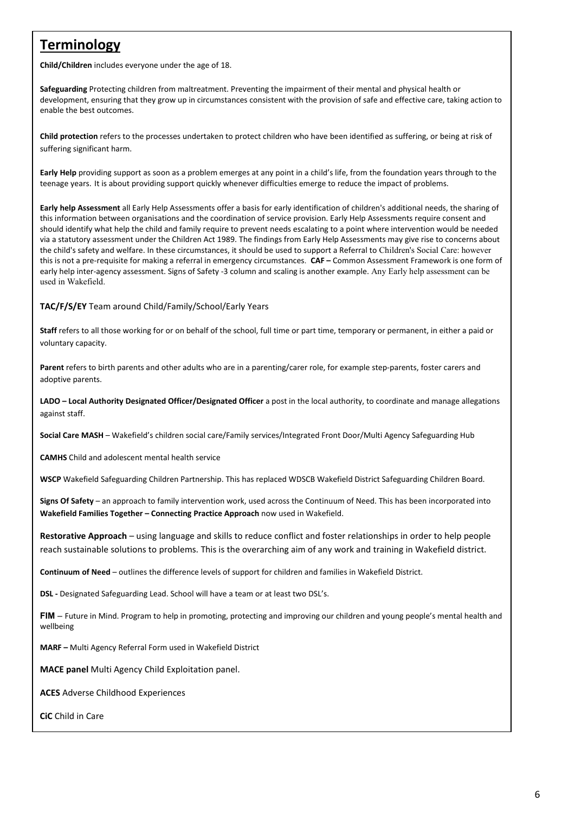## **Terminology**

**Child/Children** includes everyone under the age of 18.

**Safeguarding** Protecting children from maltreatment. Preventing the impairment of their mental and physical health or development, ensuring that they grow up in circumstances consistent with the provision of safe and effective care, taking action to enable the best outcomes.

**Child protection** refers to the processes undertaken to protect children who have been identified as suffering, or being at risk of suffering significant harm.

**Early Help** providing support as soon as a problem emerges at any point in a child's life, from the foundation years through to the teenage years. It is about providing support quickly whenever difficulties emerge to reduce the impact of problems.

**Early help Assessment** all Early Help Assessments offer a basis for early identification of children's additional needs, the sharing of this information between organisations and the coordination of service provision. Early Help Assessments require consent and should identify what help the child and family require to prevent needs escalating to a point where intervention would be needed via a statutory assessment under the Children Act 1989. The findings from Early Help Assessments may give rise to concerns about the child's safety and welfare. In these circumstances, it should be used to support a Referral to Children's Social Care: however this is not a pre-requisite for making a referral in emergency circumstances. **CAF –** Common Assessment Framework is one form of early help inter-agency assessment. Signs of Safety -3 column and scaling is another example. Any Early help assessment can be used in Wakefield.

#### **TAC/F/S/EY** Team around Child/Family/School/Early Years

**Staff** refers to all those working for or on behalf of the school, full time or part time, temporary or permanent, in either a paid or voluntary capacity.

**Parent** refers to birth parents and other adults who are in a parenting/carer role, for example step-parents, foster carers and adoptive parents.

**LADO – Local Authority Designated Officer/Designated Officer** a post in the local authority, to coordinate and manage allegations against staff.

**Social Care MASH** – Wakefield's children social care/Family services/Integrated Front Door/Multi Agency Safeguarding Hub

**CAMHS** Child and adolescent mental health service

**WSCP** Wakefield Safeguarding Children Partnership. This has replaced WDSCB Wakefield District Safeguarding Children Board.

**Signs Of Safety** – an approach to family intervention work, used across the Continuum of Need. This has been incorporated into **Wakefield Families Together – Connecting Practice Approach** now used in Wakefield.

**Restorative Approach** – using language and skills to reduce conflict and foster relationships in order to help people reach sustainable solutions to problems. This is the overarching aim of any work and training in Wakefield district.

**Continuum of Need** – outlines the difference levels of support for children and families in Wakefield District.

**DSL -** Designated Safeguarding Lead. School will have a team or at least two DSL's.

**FIM** – Future in Mind. Program to help in promoting, protecting and improving our children and young people's mental health and wellbeing

**MARF –** Multi Agency Referral Form used in Wakefield District

**MACE panel** Multi Agency Child Exploitation panel.

**ACES** Adverse Childhood Experiences

**CiC** Child in Care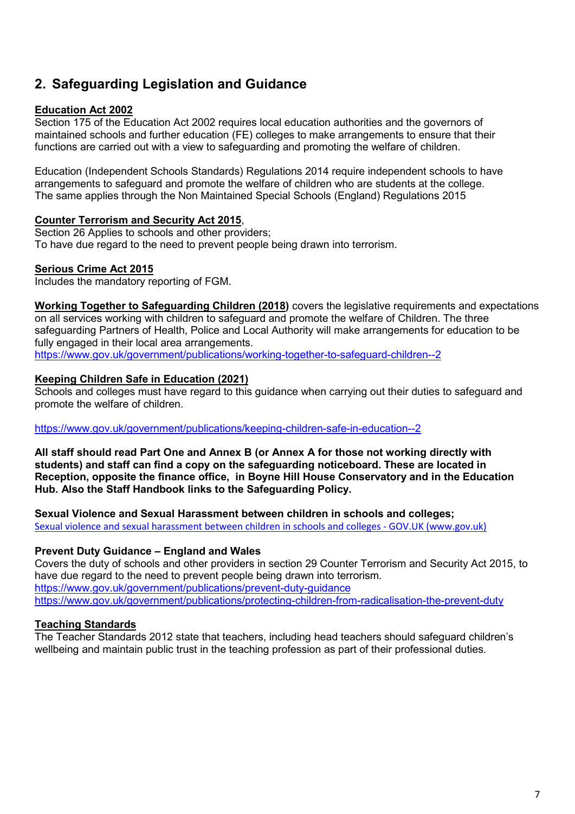## **2. Safeguarding Legislation and Guidance**

#### **Education Act 2002**

Section 175 of the Education Act 2002 requires local education authorities and the governors of maintained schools and further education (FE) colleges to make arrangements to ensure that their functions are carried out with a view to safeguarding and promoting the welfare of children.

Education (Independent Schools Standards) Regulations 2014 require independent schools to have arrangements to safeguard and promote the welfare of children who are students at the college. The same applies through the Non Maintained Special Schools (England) Regulations 2015

#### **Counter Terrorism and Security Act 2015**,

Section 26 Applies to schools and other providers; To have due regard to the need to prevent people being drawn into terrorism.

#### **Serious Crime Act 2015**

Includes the mandatory reporting of FGM.

**Working Together to Safeguarding Children (2018)** covers the legislative requirements and expectations on all services working with children to safeguard and promote the welfare of Children. The three safeguarding Partners of Health, Police and Local Authority will make arrangements for education to be fully engaged in their local area arrangements.

<https://www.gov.uk/government/publications/working-together-to-safeguard-children--2>

#### **Keeping Children Safe in Education (2021)**

Schools and colleges must have regard to this guidance when carrying out their duties to safeguard and promote the welfare of children.

#### <https://www.gov.uk/government/publications/keeping-children-safe-in-education--2>

**All staff should read Part One and Annex B (or Annex A for those not working directly with students) and staff can find a copy on the safeguarding noticeboard. These are located in Reception, opposite the finance office, in Boyne Hill House Conservatory and in the Education Hub. Also the Staff Handbook links to the Safeguarding Policy.**

**Sexual Violence and Sexual Harassment between children in schools and colleges;** [Sexual violence and sexual harassment between children in schools and colleges - GOV.UK \(www.gov.uk\)](https://www.gov.uk/government/publications/sexual-violence-and-sexual-harassment-between-children-in-schools-and-colleges)

#### **Prevent Duty Guidance – England and Wales**

Covers the duty of schools and other providers in section 29 Counter Terrorism and Security Act 2015, to have due regard to the need to prevent people being drawn into terrorism. <https://www.gov.uk/government/publications/prevent-duty-guidance> <https://www.gov.uk/government/publications/protecting-children-from-radicalisation-the-prevent-duty>

#### **Teaching Standards**

The Teacher Standards 2012 state that teachers, including head teachers should safeguard children's wellbeing and maintain public trust in the teaching profession as part of their professional duties.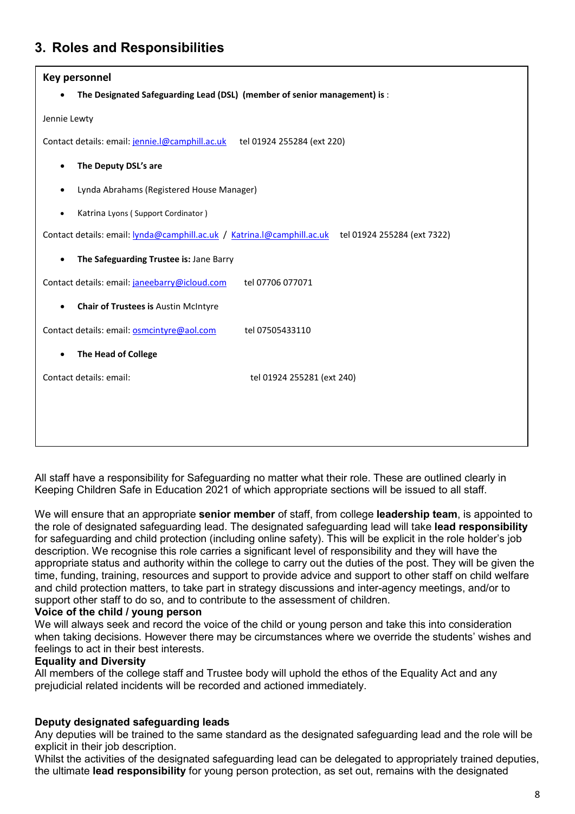## **3. Roles and Responsibilities**

| Key personnel                                                                                          |  |  |
|--------------------------------------------------------------------------------------------------------|--|--|
| The Designated Safeguarding Lead (DSL) (member of senior management) is :                              |  |  |
| Jennie Lewty                                                                                           |  |  |
| Contact details: email: jennie.l@camphill.ac.uk<br>tel 01924 255284 (ext 220)                          |  |  |
| The Deputy DSL's are                                                                                   |  |  |
| Lynda Abrahams (Registered House Manager)                                                              |  |  |
| Katrina Lyons (Support Cordinator)<br>$\bullet$                                                        |  |  |
| Contact details: email: lynda@camphill.ac.uk / Katrina.l@camphill.ac.uk<br>tel 01924 255284 (ext 7322) |  |  |
| The Safeguarding Trustee is: Jane Barry<br>$\bullet$                                                   |  |  |
| Contact details: email: janeebarry@icloud.com<br>tel 07706 077071                                      |  |  |
| Chair of Trustees is Austin McIntyre<br>$\bullet$                                                      |  |  |
| Contact details: email: <b>osmcintyre@aol.com</b><br>tel 07505433110                                   |  |  |
| <b>The Head of College</b><br>$\bullet$                                                                |  |  |
| Contact details: email:<br>tel 01924 255281 (ext 240)                                                  |  |  |
|                                                                                                        |  |  |
|                                                                                                        |  |  |

All staff have a responsibility for Safeguarding no matter what their role. These are outlined clearly in Keeping Children Safe in Education 2021 of which appropriate sections will be issued to all staff.

We will ensure that an appropriate **senior member** of staff, from college **leadership team**, is appointed to the role of designated safeguarding lead. The designated safeguarding lead will take **lead responsibility**  for safeguarding and child protection (including online safety). This will be explicit in the role holder's job description. We recognise this role carries a significant level of responsibility and they will have the appropriate status and authority within the college to carry out the duties of the post. They will be given the time, funding, training, resources and support to provide advice and support to other staff on child welfare and child protection matters, to take part in strategy discussions and inter-agency meetings, and/or to support other staff to do so, and to contribute to the assessment of children.

#### **Voice of the child / young person**

We will always seek and record the voice of the child or young person and take this into consideration when taking decisions. However there may be circumstances where we override the students' wishes and feelings to act in their best interests.

#### **Equality and Diversity**

All members of the college staff and Trustee body will uphold the ethos of the Equality Act and any prejudicial related incidents will be recorded and actioned immediately.

#### **Deputy designated safeguarding leads**

Any deputies will be trained to the same standard as the designated safeguarding lead and the role will be explicit in their job description.

Whilst the activities of the designated safeguarding lead can be delegated to appropriately trained deputies, the ultimate **lead responsibility** for young person protection, as set out, remains with the designated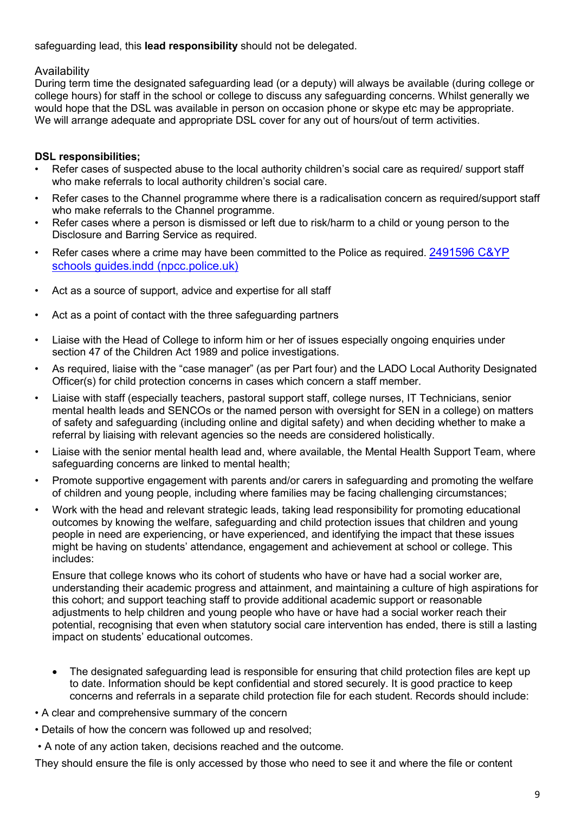#### safeguarding lead, this **lead responsibility** should not be delegated.

#### Availability

During term time the designated safeguarding lead (or a deputy) will always be available (during college or college hours) for staff in the school or college to discuss any safeguarding concerns. Whilst generally we would hope that the DSL was available in person on occasion phone or skype etc may be appropriate. We will arrange adequate and appropriate DSL cover for any out of hours/out of term activities.

#### **DSL responsibilities;**

- Refer cases of suspected abuse to the local authority children's social care as required/ support staff who make referrals to local authority children's social care.
- Refer cases to the Channel programme where there is a radicalisation concern as required/support staff who make referrals to the Channel programme.
- Refer cases where a person is dismissed or left due to risk/harm to a child or young person to the Disclosure and Barring Service as required.
- Refer cases where a crime may have been committed to the Police as required. 2491596 C&YP [schools guides.indd \(npcc.police.uk\)](https://www.npcc.police.uk/documents/Children%20and%20Young%20people/When%20to%20call%20the%20police%20guidance%20for%20schools%20and%20colleges.pdf)
- Act as a source of support, advice and expertise for all staff
- Act as a point of contact with the three safeguarding partners
- Liaise with the Head of College to inform him or her of issues especially ongoing enquiries under section 47 of the Children Act 1989 and police investigations.
- As required, liaise with the "case manager" (as per Part four) and the LADO Local Authority Designated Officer(s) for child protection concerns in cases which concern a staff member.
- Liaise with staff (especially teachers, pastoral support staff, college nurses, IT Technicians, senior mental health leads and SENCOs or the named person with oversight for SEN in a college) on matters of safety and safeguarding (including online and digital safety) and when deciding whether to make a referral by liaising with relevant agencies so the needs are considered holistically.
- Liaise with the senior mental health lead and, where available, the Mental Health Support Team, where safeguarding concerns are linked to mental health;
- Promote supportive engagement with parents and/or carers in safeguarding and promoting the welfare of children and young people, including where families may be facing challenging circumstances;
- Work with the head and relevant strategic leads, taking lead responsibility for promoting educational outcomes by knowing the welfare, safeguarding and child protection issues that children and young people in need are experiencing, or have experienced, and identifying the impact that these issues might be having on students' attendance, engagement and achievement at school or college. This includes:

Ensure that college knows who its cohort of students who have or have had a social worker are, understanding their academic progress and attainment, and maintaining a culture of high aspirations for this cohort; and support teaching staff to provide additional academic support or reasonable adjustments to help children and young people who have or have had a social worker reach their potential, recognising that even when statutory social care intervention has ended, there is still a lasting impact on students' educational outcomes.

- The designated safeguarding lead is responsible for ensuring that child protection files are kept up to date. Information should be kept confidential and stored securely. It is good practice to keep concerns and referrals in a separate child protection file for each student. Records should include:
- A clear and comprehensive summary of the concern
- Details of how the concern was followed up and resolved;
- A note of any action taken, decisions reached and the outcome.

They should ensure the file is only accessed by those who need to see it and where the file or content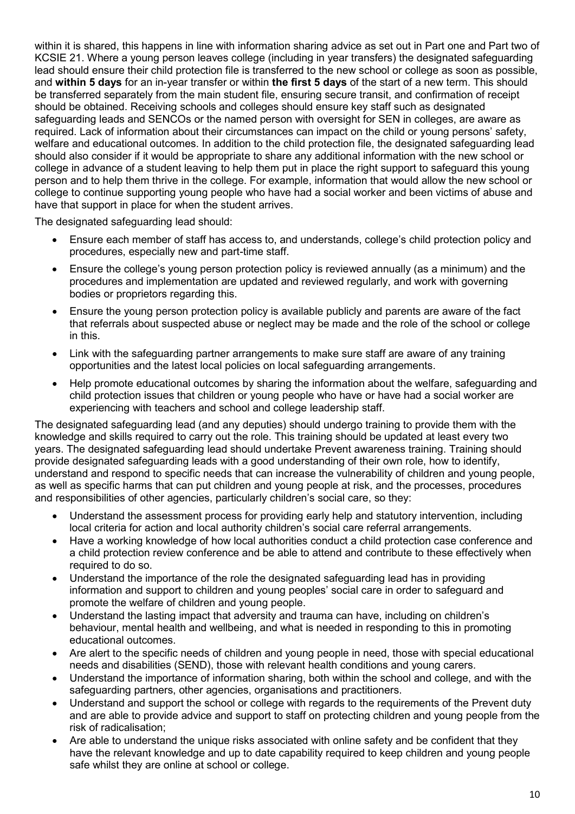within it is shared, this happens in line with information sharing advice as set out in Part one and Part two of KCSIE 21. Where a young person leaves college (including in year transfers) the designated safeguarding lead should ensure their child protection file is transferred to the new school or college as soon as possible, and **within 5 days** for an in-year transfer or within **the first 5 days** of the start of a new term. This should be transferred separately from the main student file, ensuring secure transit, and confirmation of receipt should be obtained. Receiving schools and colleges should ensure key staff such as designated safeguarding leads and SENCOs or the named person with oversight for SEN in colleges, are aware as required. Lack of information about their circumstances can impact on the child or young persons' safety, welfare and educational outcomes. In addition to the child protection file, the designated safeguarding lead should also consider if it would be appropriate to share any additional information with the new school or college in advance of a student leaving to help them put in place the right support to safeguard this young person and to help them thrive in the college. For example, information that would allow the new school or college to continue supporting young people who have had a social worker and been victims of abuse and have that support in place for when the student arrives.

The designated safeguarding lead should:

- Ensure each member of staff has access to, and understands, college's child protection policy and procedures, especially new and part-time staff.
- Ensure the college's young person protection policy is reviewed annually (as a minimum) and the procedures and implementation are updated and reviewed regularly, and work with governing bodies or proprietors regarding this.
- Ensure the young person protection policy is available publicly and parents are aware of the fact that referrals about suspected abuse or neglect may be made and the role of the school or college in this.
- Link with the safeguarding partner arrangements to make sure staff are aware of any training opportunities and the latest local policies on local safeguarding arrangements.
- Help promote educational outcomes by sharing the information about the welfare, safeguarding and child protection issues that children or young people who have or have had a social worker are experiencing with teachers and school and college leadership staff.

The designated safeguarding lead (and any deputies) should undergo training to provide them with the knowledge and skills required to carry out the role. This training should be updated at least every two years. The designated safeguarding lead should undertake Prevent awareness training. Training should provide designated safeguarding leads with a good understanding of their own role, how to identify, understand and respond to specific needs that can increase the vulnerability of children and young people, as well as specific harms that can put children and young people at risk, and the processes, procedures and responsibilities of other agencies, particularly children's social care, so they:

- Understand the assessment process for providing early help and statutory intervention, including local criteria for action and local authority children's social care referral arrangements.
- Have a working knowledge of how local authorities conduct a child protection case conference and a child protection review conference and be able to attend and contribute to these effectively when required to do so.
- Understand the importance of the role the designated safeguarding lead has in providing information and support to children and young peoples' social care in order to safeguard and promote the welfare of children and young people.
- Understand the lasting impact that adversity and trauma can have, including on children's behaviour, mental health and wellbeing, and what is needed in responding to this in promoting educational outcomes.
- Are alert to the specific needs of children and young people in need, those with special educational needs and disabilities (SEND), those with relevant health conditions and young carers.
- Understand the importance of information sharing, both within the school and college, and with the safeguarding partners, other agencies, organisations and practitioners.
- Understand and support the school or college with regards to the requirements of the Prevent duty and are able to provide advice and support to staff on protecting children and young people from the risk of radicalisation;
- Are able to understand the unique risks associated with online safety and be confident that they have the relevant knowledge and up to date capability required to keep children and young people safe whilst they are online at school or college.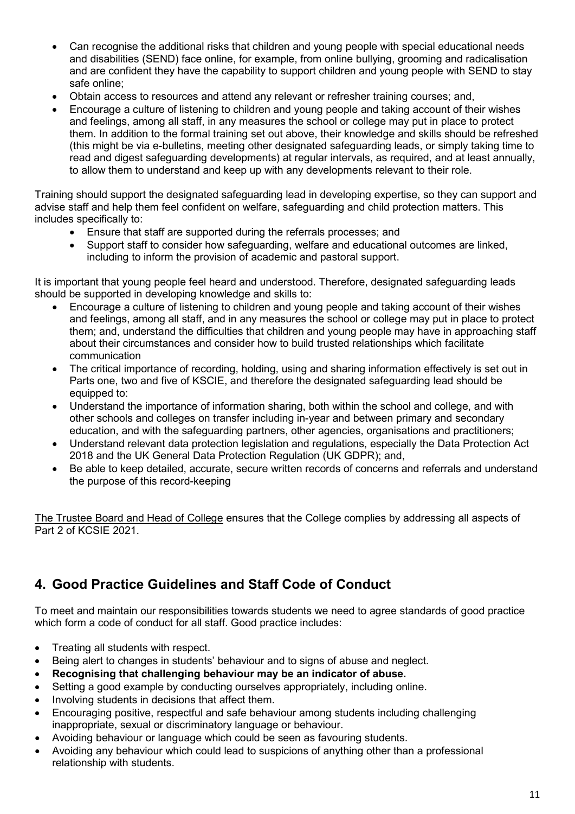- Can recognise the additional risks that children and young people with special educational needs and disabilities (SEND) face online, for example, from online bullying, grooming and radicalisation and are confident they have the capability to support children and young people with SEND to stay safe online;
- Obtain access to resources and attend any relevant or refresher training courses; and,
- Encourage a culture of listening to children and young people and taking account of their wishes and feelings, among all staff, in any measures the school or college may put in place to protect them. In addition to the formal training set out above, their knowledge and skills should be refreshed (this might be via e-bulletins, meeting other designated safeguarding leads, or simply taking time to read and digest safeguarding developments) at regular intervals, as required, and at least annually, to allow them to understand and keep up with any developments relevant to their role.

Training should support the designated safeguarding lead in developing expertise, so they can support and advise staff and help them feel confident on welfare, safeguarding and child protection matters. This includes specifically to:

- Ensure that staff are supported during the referrals processes; and
- Support staff to consider how safeguarding, welfare and educational outcomes are linked, including to inform the provision of academic and pastoral support.

It is important that young people feel heard and understood. Therefore, designated safeguarding leads should be supported in developing knowledge and skills to:

- Encourage a culture of listening to children and young people and taking account of their wishes and feelings, among all staff, and in any measures the school or college may put in place to protect them; and, understand the difficulties that children and young people may have in approaching staff about their circumstances and consider how to build trusted relationships which facilitate communication
- The critical importance of recording, holding, using and sharing information effectively is set out in Parts one, two and five of KSCIE, and therefore the designated safeguarding lead should be equipped to:
- Understand the importance of information sharing, both within the school and college, and with other schools and colleges on transfer including in-year and between primary and secondary education, and with the safeguarding partners, other agencies, organisations and practitioners;
- Understand relevant data protection legislation and regulations, especially the Data Protection Act 2018 and the UK General Data Protection Regulation (UK GDPR); and,
- Be able to keep detailed, accurate, secure written records of concerns and referrals and understand the purpose of this record-keeping

The Trustee Board and Head of College ensures that the College complies by addressing all aspects of Part 2 of KCSIE 2021.

## **4. Good Practice Guidelines and Staff Code of Conduct**

To meet and maintain our responsibilities towards students we need to agree standards of good practice which form a code of conduct for all staff. Good practice includes:

- Treating all students with respect.
- Being alert to changes in students' behaviour and to signs of abuse and neglect.
- **Recognising that challenging behaviour may be an indicator of abuse.**
- Setting a good example by conducting ourselves appropriately, including online.
- Involving students in decisions that affect them.
- Encouraging positive, respectful and safe behaviour among students including challenging inappropriate, sexual or discriminatory language or behaviour.
- Avoiding behaviour or language which could be seen as favouring students.
- Avoiding any behaviour which could lead to suspicions of anything other than a professional relationship with students.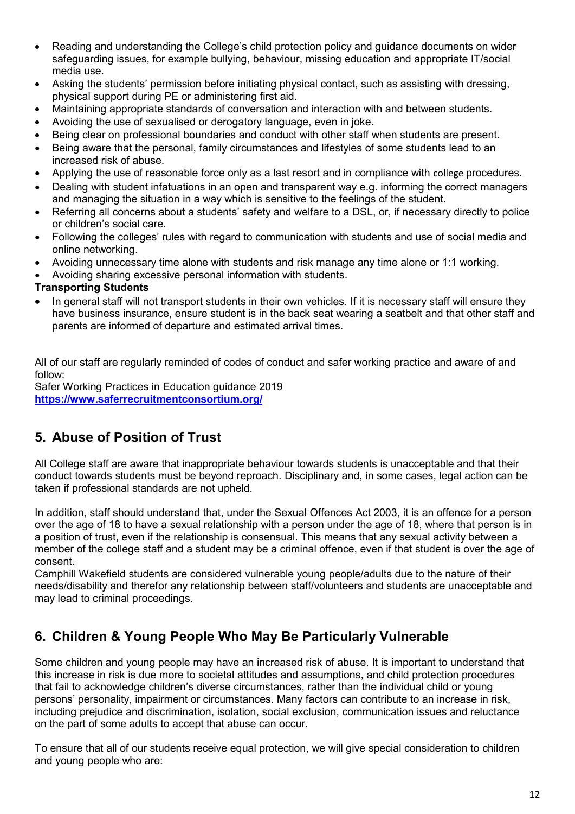- Reading and understanding the College's child protection policy and guidance documents on wider safeguarding issues, for example bullying, behaviour, missing education and appropriate IT/social media use.
- Asking the students' permission before initiating physical contact, such as assisting with dressing, physical support during PE or administering first aid.
- Maintaining appropriate standards of conversation and interaction with and between students.
- Avoiding the use of sexualised or derogatory language, even in joke.
- Being clear on professional boundaries and conduct with other staff when students are present.
- Being aware that the personal, family circumstances and lifestyles of some students lead to an increased risk of abuse.
- Applying the use of reasonable force only as a last resort and in compliance with college procedures.
- Dealing with student infatuations in an open and transparent way e.g. informing the correct managers and managing the situation in a way which is sensitive to the feelings of the student.
- Referring all concerns about a students' safety and welfare to a DSL, or, if necessary directly to police or children's social care.
- Following the colleges' rules with regard to communication with students and use of social media and online networking.
- Avoiding unnecessary time alone with students and risk manage any time alone or 1:1 working.
- Avoiding sharing excessive personal information with students.

#### **Transporting Students**

• In general staff will not transport students in their own vehicles. If it is necessary staff will ensure they have business insurance, ensure student is in the back seat wearing a seatbelt and that other staff and parents are informed of departure and estimated arrival times.

All of our staff are regularly reminded of codes of conduct and safer working practice and aware of and follow:

Safer Working Practices in Education guidance 2019 **<https://www.saferrecruitmentconsortium.org/>**

## **5. Abuse of Position of Trust**

All College staff are aware that inappropriate behaviour towards students is unacceptable and that their conduct towards students must be beyond reproach. Disciplinary and, in some cases, legal action can be taken if professional standards are not upheld.

In addition, staff should understand that, under the Sexual Offences Act 2003, it is an offence for a person over the age of 18 to have a sexual relationship with a person under the age of 18, where that person is in a position of trust, even if the relationship is consensual. This means that any sexual activity between a member of the college staff and a student may be a criminal offence, even if that student is over the age of consent.

Camphill Wakefield students are considered vulnerable young people/adults due to the nature of their needs/disability and therefor any relationship between staff/volunteers and students are unacceptable and may lead to criminal proceedings.

## **6. Children & Young People Who May Be Particularly Vulnerable**

Some children and young people may have an increased risk of abuse. It is important to understand that this increase in risk is due more to societal attitudes and assumptions, and child protection procedures that fail to acknowledge children's diverse circumstances, rather than the individual child or young persons' personality, impairment or circumstances. Many factors can contribute to an increase in risk, including prejudice and discrimination, isolation, social exclusion, communication issues and reluctance on the part of some adults to accept that abuse can occur.

To ensure that all of our students receive equal protection, we will give special consideration to children and young people who are: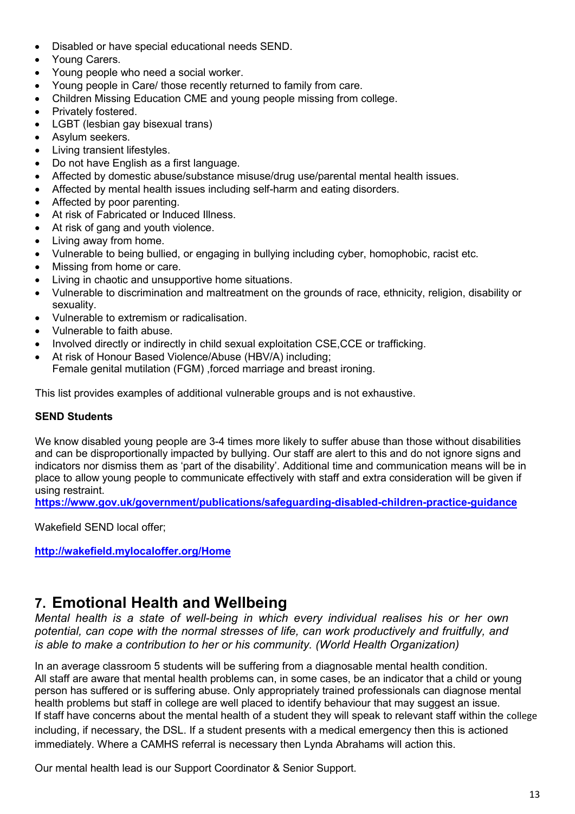- Disabled or have special educational needs SEND.
- Young Carers.
- Young people who need a social worker.
- Young people in Care/ those recently returned to family from care.
- Children Missing Education CME and young people missing from college.
- Privately fostered.
- LGBT (lesbian gay bisexual trans)
- Asylum seekers.
- Living transient lifestyles.
- Do not have English as a first language.
- Affected by domestic abuse/substance misuse/drug use/parental mental health issues.
- Affected by mental health issues including self-harm and eating disorders.
- Affected by poor parenting.
- At risk of Fabricated or Induced Illness.
- At risk of gang and youth violence.
- Living away from home.
- Vulnerable to being bullied, or engaging in bullying including cyber, homophobic, racist etc.
- Missing from home or care.
- Living in chaotic and unsupportive home situations.
- Vulnerable to discrimination and maltreatment on the grounds of race, ethnicity, religion, disability or sexuality.
- Vulnerable to extremism or radicalisation.
- Vulnerable to faith abuse.
- Involved directly or indirectly in child sexual exploitation CSE,CCE or trafficking.
- At risk of Honour Based Violence/Abuse (HBV/A) including;
	- Female genital mutilation (FGM) ,forced marriage and breast ironing.

This list provides examples of additional vulnerable groups and is not exhaustive.

#### **SEND Students**

We know disabled young people are 3-4 times more likely to suffer abuse than those without disabilities and can be disproportionally impacted by bullying. Our staff are alert to this and do not ignore signs and indicators nor dismiss them as 'part of the disability'. Additional time and communication means will be in place to allow young people to communicate effectively with staff and extra consideration will be given if using restraint.

**<https://www.gov.uk/government/publications/safeguarding-disabled-children-practice-guidance>**

Wakefield SEND local offer;

**<http://wakefield.mylocaloffer.org/Home>**

## **7. Emotional Health and Wellbeing**

*Mental health is a state of well-being in which every individual realises his or her own potential, can cope with the normal stresses of life, can work productively and fruitfully, and is able to make a contribution to her or his community. (World Health Organization)*

In an average classroom 5 students will be suffering from a diagnosable mental health condition. All staff are aware that mental health problems can, in some cases, be an indicator that a child or young person has suffered or is suffering abuse. Only appropriately trained professionals can diagnose mental health problems but staff in college are well placed to identify behaviour that may suggest an issue. If staff have concerns about the mental health of a student they will speak to relevant staff within the college including, if necessary, the DSL. If a student presents with a medical emergency then this is actioned immediately. Where a CAMHS referral is necessary then Lynda Abrahams will action this.

Our mental health lead is our Support Coordinator & Senior Support.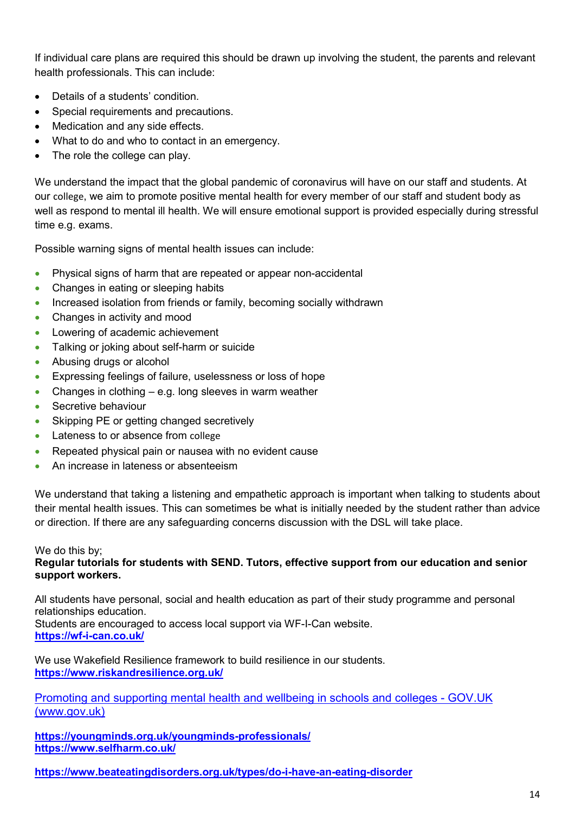If individual care plans are required this should be drawn up involving the student, the parents and relevant health professionals. This can include:

- Details of a students' condition.
- Special requirements and precautions.
- Medication and any side effects.
- What to do and who to contact in an emergency.
- The role the college can play.

We understand the impact that the global pandemic of coronavirus will have on our staff and students. At our college, we aim to promote positive mental health for every member of our staff and student body as well as respond to mental ill health. We will ensure emotional support is provided especially during stressful time e.g. exams.

Possible warning signs of mental health issues can include:

- Physical signs of harm that are repeated or appear non-accidental
- Changes in eating or sleeping habits
- Increased isolation from friends or family, becoming socially withdrawn
- Changes in activity and mood
- Lowering of academic achievement
- Talking or joking about self-harm or suicide
- Abusing drugs or alcohol
- Expressing feelings of failure, uselessness or loss of hope
- Changes in clothing  $-$  e.g. long sleeves in warm weather
- Secretive behaviour
- Skipping PE or getting changed secretively
- Lateness to or absence from college
- Repeated physical pain or nausea with no evident cause
- An increase in lateness or absenteeism

We understand that taking a listening and empathetic approach is important when talking to students about their mental health issues. This can sometimes be what is initially needed by the student rather than advice or direction. If there are any safeguarding concerns discussion with the DSL will take place.

We do this by;

#### **Regular tutorials for students with SEND. Tutors, effective support from our education and senior support workers.**

All students have personal, social and health education as part of their study programme and personal relationships education. Students are encouraged to access local support via WF-I-Can website.

**<https://wf-i-can.co.uk/>**

We use Wakefield Resilience framework to build resilience in our students. **<https://www.riskandresilience.org.uk/>**

[Promoting and supporting mental health and wellbeing in schools and colleges - GOV.UK](https://www.gov.uk/guidance/mental-health-and-wellbeing-support-in-schools-and-colleges)  [\(www.gov.uk\)](https://www.gov.uk/guidance/mental-health-and-wellbeing-support-in-schools-and-colleges)

**<https://youngminds.org.uk/youngminds-professionals/> <https://www.selfharm.co.uk/>**

**<https://www.beateatingdisorders.org.uk/types/do-i-have-an-eating-disorder>**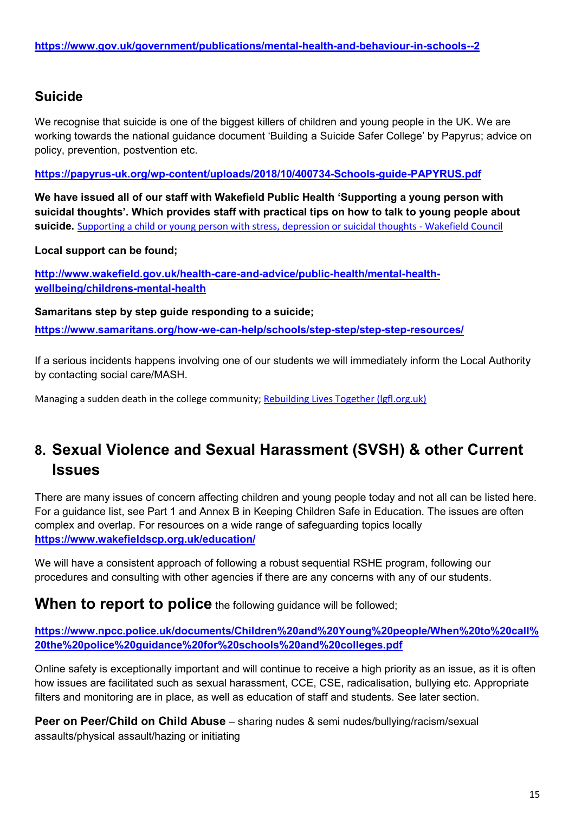## **Suicide**

We recognise that suicide is one of the biggest killers of children and young people in the UK. We are working towards the national guidance document 'Building a Suicide Safer College' by Papyrus; advice on policy, prevention, postvention etc.

**<https://papyrus-uk.org/wp-content/uploads/2018/10/400734-Schools-guide-PAPYRUS.pdf>**

**We have issued all of our staff with Wakefield Public Health 'Supporting a young person with suicidal thoughts'. Which provides staff with practical tips on how to talk to young people about suicide.** [Supporting a child or young person with stress, depression or suicidal thoughts - Wakefield Council](https://www.wakefield.gov.uk/health-care-and-advice/public-health/mental-health-wellbeing/childrens-mental-health/suicide-prevention)

#### **Local support can be found;**

**[http://www.wakefield.gov.uk/health-care-and-advice/public-health/mental-health](http://www.wakefield.gov.uk/health-care-and-advice/public-health/mental-health-wellbeing/childrens-mental-health)[wellbeing/childrens-mental-health](http://www.wakefield.gov.uk/health-care-and-advice/public-health/mental-health-wellbeing/childrens-mental-health)**

**Samaritans step by step guide responding to a suicide; <https://www.samaritans.org/how-we-can-help/schools/step-step/step-step-resources/>**

If a serious incidents happens involving one of our students we will immediately inform the Local Authority by contacting social care/MASH.

Managing a sudden death in the college community; [Rebuilding Lives Together \(lgfl.org.uk\)](https://bereavement.lgfl.org.uk/default.html)

## **8. Sexual Violence and Sexual Harassment (SVSH) & other Current Issues**

There are many issues of concern affecting children and young people today and not all can be listed here. For a guidance list, see Part 1 and Annex B in Keeping Children Safe in Education. The issues are often complex and overlap. For resources on a wide range of safeguarding topics locally **<https://www.wakefieldscp.org.uk/education/>**

We will have a consistent approach of following a robust sequential RSHE program, following our procedures and consulting with other agencies if there are any concerns with any of our students.

**When to report to police** the following guidance will be followed;

**[https://www.npcc.police.uk/documents/Children%20and%20Young%20people/When%20to%20call%](https://www.npcc.police.uk/documents/Children%20and%20Young%20people/When%20to%20call%20the%20police%20guidance%20for%20schools%20and%20colleges.pdf) [20the%20police%20guidance%20for%20schools%20and%20colleges.pdf](https://www.npcc.police.uk/documents/Children%20and%20Young%20people/When%20to%20call%20the%20police%20guidance%20for%20schools%20and%20colleges.pdf)**

Online safety is exceptionally important and will continue to receive a high priority as an issue, as it is often how issues are facilitated such as sexual harassment, CCE, CSE, radicalisation, bullying etc. Appropriate filters and monitoring are in place, as well as education of staff and students. See later section.

**Peer on Peer/Child on Child Abuse** – sharing nudes & semi nudes/bullying/racism/sexual assaults/physical assault/hazing or initiating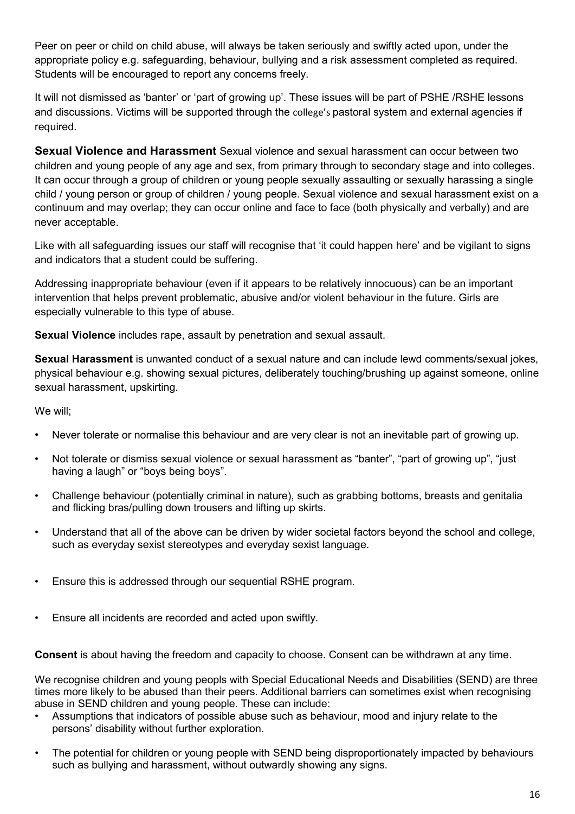Peer on peer or child on child abuse, will always be taken seriously and swiftly acted upon, under the appropriate policy e.g. safeguarding, behaviour, bullying and a risk assessment completed as required. Students will be encouraged to report any concerns freely.

It will not dismissed as 'banter' or 'part of growing up'. These issues will be part of PSHE /RSHE lessons and discussions. Victims will be supported through the college's pastoral system and external agencies if required.

**Sexual Violence and Harassment** Sexual violence and sexual harassment can occur between two children and young people of any age and sex, from primary through to secondary stage and into colleges. It can occur through a group of children or young people sexually assaulting or sexually harassing a single child / young person or group of children / young people. Sexual violence and sexual harassment exist on a continuum and may overlap; they can occur online and face to face (both physically and verbally) and are never acceptable.

Like with all safeguarding issues our staff will recognise that 'it could happen here' and be vigilant to signs and indicators that a student could be suffering.

Addressing inappropriate behaviour (even if it appears to be relatively innocuous) can be an important intervention that helps prevent problematic, abusive and/or violent behaviour in the future. Girls are especially vulnerable to this type of abuse.

**Sexual Violence** includes rape, assault by penetration and sexual assault.

**Sexual Harassment** is unwanted conduct of a sexual nature and can include lewd comments/sexual jokes, physical behaviour e.g. showing sexual pictures, deliberately touching/brushing up against someone, online sexual harassment, upskirting.

We will;

- Never tolerate or normalise this behaviour and are very clear is not an inevitable part of growing up.
- Not tolerate or dismiss sexual violence or sexual harassment as "banter", "part of growing up", "just having a laugh" or "boys being boys".
- Challenge behaviour (potentially criminal in nature), such as grabbing bottoms, breasts and genitalia and flicking bras/pulling down trousers and lifting up skirts.
- Understand that all of the above can be driven by wider societal factors beyond the school and college, such as everyday sexist stereotypes and everyday sexist language.
- Ensure this is addressed through our sequential RSHE program.
- Ensure all incidents are recorded and acted upon swiftly.

**Consent** is about having the freedom and capacity to choose. Consent can be withdrawn at any time.

We recognise children and young peopls with Special Educational Needs and Disabilities (SEND) are three times more likely to be abused than their peers. Additional barriers can sometimes exist when recognising abuse in SEND children and young people. These can include:

- Assumptions that indicators of possible abuse such as behaviour, mood and injury relate to the persons' disability without further exploration.
- The potential for children or young people with SEND being disproportionately impacted by behaviours such as bullying and harassment, without outwardly showing any signs.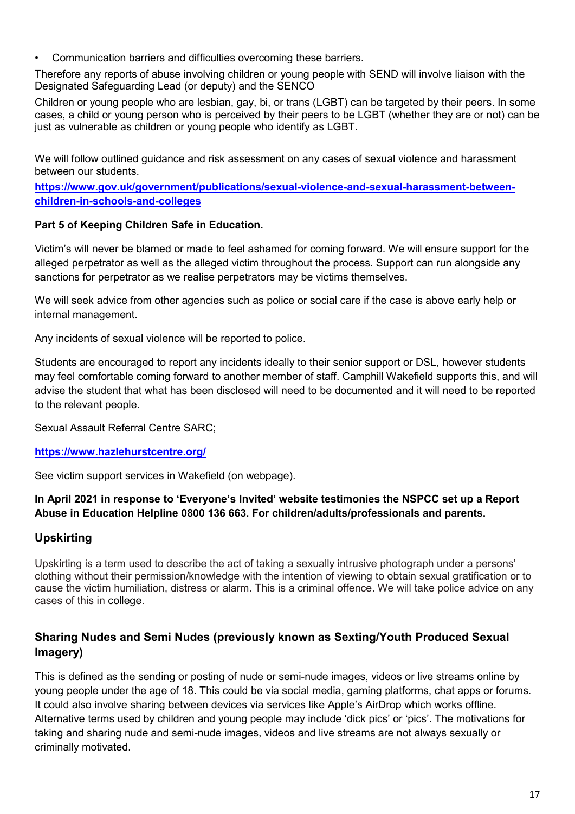• Communication barriers and difficulties overcoming these barriers.

Therefore any reports of abuse involving children or young people with SEND will involve liaison with the Designated Safeguarding Lead (or deputy) and the SENCO

Children or young people who are lesbian, gay, bi, or trans (LGBT) can be targeted by their peers. In some cases, a child or young person who is perceived by their peers to be LGBT (whether they are or not) can be just as vulnerable as children or young people who identify as LGBT.

We will follow outlined guidance and risk assessment on any cases of sexual violence and harassment between our students.

**[https://www.gov.uk/government/publications/sexual-violence-and-sexual-harassment-between](https://www.gov.uk/government/publications/sexual-violence-and-sexual-harassment-between-children-in-schools-and-colleges)[children-in-schools-and-colleges](https://www.gov.uk/government/publications/sexual-violence-and-sexual-harassment-between-children-in-schools-and-colleges)**

#### **Part 5 of Keeping Children Safe in Education.**

Victim's will never be blamed or made to feel ashamed for coming forward. We will ensure support for the alleged perpetrator as well as the alleged victim throughout the process. Support can run alongside any sanctions for perpetrator as we realise perpetrators may be victims themselves.

We will seek advice from other agencies such as police or social care if the case is above early help or internal management.

Any incidents of sexual violence will be reported to police.

Students are encouraged to report any incidents ideally to their senior support or DSL, however students may feel comfortable coming forward to another member of staff. Camphill Wakefield supports this, and will advise the student that what has been disclosed will need to be documented and it will need to be reported to the relevant people.

Sexual Assault Referral Centre SARC;

#### **<https://www.hazlehurstcentre.org/>**

See victim support services in Wakefield (on webpage).

#### **In April 2021 in response to 'Everyone's Invited' website testimonies the NSPCC set up a Report Abuse in Education Helpline 0800 136 663. For children/adults/professionals and parents.**

#### **Upskirting**

Upskirting is a term used to describe the act of taking a sexually intrusive photograph under a persons' clothing without their permission/knowledge with the intention of viewing to obtain sexual gratification or to cause the victim humiliation, distress or alarm. This is a criminal offence. We will take police advice on any cases of this in college.

#### **Sharing Nudes and Semi Nudes (previously known as Sexting/Youth Produced Sexual Imagery)**

This is defined as the sending or posting of nude or semi-nude images, videos or live streams online by young people under the age of 18. This could be via social media, gaming platforms, chat apps or forums. It could also involve sharing between devices via services like Apple's AirDrop which works offline. Alternative terms used by children and young people may include 'dick pics' or 'pics'. The motivations for taking and sharing nude and semi-nude images, videos and live streams are not always sexually or criminally motivated.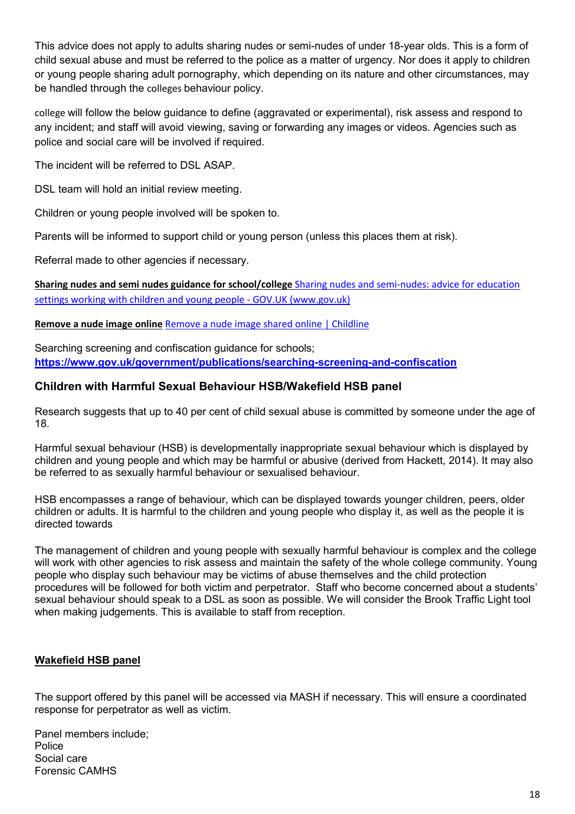This advice does not apply to adults sharing nudes or semi-nudes of under 18-year olds. This is a form of child sexual abuse and must be referred to the police as a matter of urgency. Nor does it apply to children or young people sharing adult pornography, which depending on its nature and other circumstances, may be handled through the colleges behaviour policy.

college will follow the below guidance to define (aggravated or experimental), risk assess and respond to any incident; and staff will avoid viewing, saving or forwarding any images or videos. Agencies such as police and social care will be involved if required.

The incident will be referred to DSL ASAP.

DSL team will hold an initial review meeting.

Children or young people involved will be spoken to.

Parents will be informed to support child or young person (unless this places them at risk).

Referral made to other agencies if necessary.

**Sharing nudes and semi nudes guidance for school/college** [Sharing nudes and semi-nudes: advice for education](https://www.gov.uk/government/publications/sharing-nudes-and-semi-nudes-advice-for-education-settings-working-with-children-and-young-people)  [settings working with children and young people - GOV.UK \(www.gov.uk\)](https://www.gov.uk/government/publications/sharing-nudes-and-semi-nudes-advice-for-education-settings-working-with-children-and-young-people)

**Remove a nude image online** [Remove a nude image shared online | Childline](https://www.childline.org.uk/info-advice/bullying-abuse-safety/online-mobile-safety/remove-nude-image-shared-online/)

Searching screening and confiscation guidance for schools; **<https://www.gov.uk/government/publications/searching-screening-and-confiscation>**

#### **Children with Harmful Sexual Behaviour HSB/Wakefield HSB panel**

Research suggests that up to 40 per cent of child sexual abuse is committed by someone under the age of 18.

Harmful sexual behaviour (HSB) is developmentally inappropriate sexual behaviour which is displayed by children and young people and which may be harmful or abusive (derived from Hackett, 2014). It may also be referred to as sexually harmful behaviour or sexualised behaviour.

HSB encompasses a range of behaviour, which can be displayed towards younger children, peers, older children or adults. It is harmful to the children and young people who display it, as well as the people it is directed towards

The management of children and young people with sexually harmful behaviour is complex and the college will work with other agencies to risk assess and maintain the safety of the whole college community. Young people who display such behaviour may be victims of abuse themselves and the child protection procedures will be followed for both victim and perpetrator. Staff who become concerned about a students' sexual behaviour should speak to a DSL as soon as possible. We will consider the Brook Traffic Light tool when making judgements. This is available to staff from reception.

#### **Wakefield HSB panel**

The support offered by this panel will be accessed via MASH if necessary. This will ensure a coordinated response for perpetrator as well as victim.

Panel members include; Police Social care Forensic CAMHS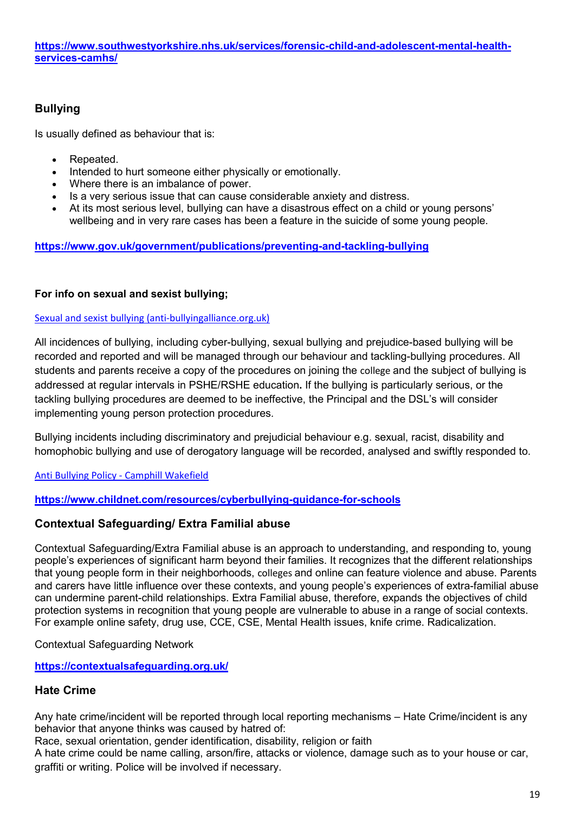#### **Bullying**

Is usually defined as behaviour that is:

- Repeated.
- Intended to hurt someone either physically or emotionally.
- Where there is an imbalance of power.
- Is a very serious issue that can cause considerable anxiety and distress.
- At its most serious level, bullying can have a disastrous effect on a child or young persons' wellbeing and in very rare cases has been a feature in the suicide of some young people.

#### **<https://www.gov.uk/government/publications/preventing-and-tackling-bullying>**

#### **For info on sexual and sexist bullying;**

#### [Sexual and sexist bullying \(anti-bullyingalliance.org.uk\)](https://anti-bullyingalliance.org.uk/tools-information/all-about-bullying/sexual-and-sexist-bullying?mc_cid=750788cf8d&mc_eid=5f242682cd)

All incidences of bullying, including cyber-bullying, sexual bullying and prejudice-based bullying will be recorded and reported and will be managed through our behaviour and tackling-bullying procedures. All students and parents receive a copy of the procedures on joining the college and the subject of bullying is addressed at regular intervals in PSHE/RSHE education**.** If the bullying is particularly serious, or the tackling bullying procedures are deemed to be ineffective, the Principal and the DSL's will consider implementing young person protection procedures.

Bullying incidents including discriminatory and prejudicial behaviour e.g. sexual, racist, disability and homophobic bullying and use of derogatory language will be recorded, analysed and swiftly responded to.

[Anti Bullying Policy - Camphill Wakefield](https://camphill.ac.uk/anti-bullying-policy/)

#### **<https://www.childnet.com/resources/cyberbullying-guidance-for-schools>**

#### **Contextual Safeguarding/ Extra Familial abuse**

Contextual Safeguarding/Extra Familial abuse is an approach to understanding, and responding to, young people's experiences of significant harm beyond their families. It recognizes that the different relationships that young people form in their neighborhoods, colleges and online can feature violence and abuse. Parents and carers have little influence over these contexts, and young people's experiences of extra-familial abuse can undermine parent-child relationships. Extra Familial abuse, therefore, expands the objectives of child protection systems in recognition that young people are vulnerable to abuse in a range of social contexts. For example online safety, drug use, CCE, CSE, Mental Health issues, knife crime. Radicalization.

Contextual Safeguarding Network

**<https://contextualsafeguarding.org.uk/>**

#### **Hate Crime**

Any hate crime/incident will be reported through local reporting mechanisms – Hate Crime/incident is any behavior that anyone thinks was caused by hatred of:

Race, sexual orientation, gender identification, disability, religion or faith

A hate crime could be name calling, arson/fire, attacks or violence, damage such as to your house or car, graffiti or writing. Police will be involved if necessary.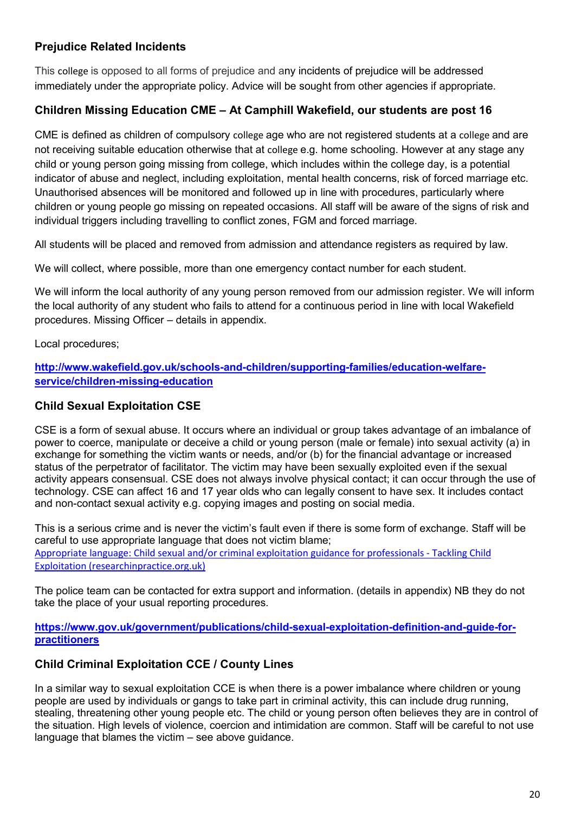#### **Prejudice Related Incidents**

This college is opposed to all forms of prejudice and any incidents of prejudice will be addressed immediately under the appropriate policy. Advice will be sought from other agencies if appropriate.

#### **Children Missing Education CME – At Camphill Wakefield, our students are post 16**

CME is defined as children of compulsory college age who are not registered students at a college and are not receiving suitable education otherwise that at college e.g. home schooling. However at any stage any child or young person going missing from college, which includes within the college day, is a potential indicator of abuse and neglect, including exploitation, mental health concerns, risk of forced marriage etc. Unauthorised absences will be monitored and followed up in line with procedures, particularly where children or young people go missing on repeated occasions. All staff will be aware of the signs of risk and individual triggers including travelling to conflict zones, FGM and forced marriage.

All students will be placed and removed from admission and attendance registers as required by law.

We will collect, where possible, more than one emergency contact number for each student.

We will inform the local authority of any young person removed from our admission register. We will inform the local authority of any student who fails to attend for a continuous period in line with local Wakefield procedures. Missing Officer – details in appendix.

Local procedures;

**[http://www.wakefield.gov.uk/schools-and-children/supporting-families/education-welfare](http://www.wakefield.gov.uk/schools-and-children/supporting-families/education-welfare-service/children-missing-education)[service/children-missing-education](http://www.wakefield.gov.uk/schools-and-children/supporting-families/education-welfare-service/children-missing-education)**

#### **Child Sexual Exploitation CSE**

CSE is a form of sexual abuse. It occurs where an individual or group takes advantage of an imbalance of power to coerce, manipulate or deceive a child or young person (male or female) into sexual activity (a) in exchange for something the victim wants or needs, and/or (b) for the financial advantage or increased status of the perpetrator of facilitator. The victim may have been sexually exploited even if the sexual activity appears consensual. CSE does not always involve physical contact; it can occur through the use of technology. CSE can affect 16 and 17 year olds who can legally consent to have sex. It includes contact and non-contact sexual activity e.g. copying images and posting on social media.

This is a serious crime and is never the victim's fault even if there is some form of exchange. Staff will be careful to use appropriate language that does not victim blame; [Appropriate language: Child sexual and/or criminal exploitation guidance for professionals - Tackling Child](https://tce.researchinpractice.org.uk/appropriate-language-child-sexual-and-or-criminal-exploitation-guidance-for-professionals/)  [Exploitation \(researchinpractice.org.uk\)](https://tce.researchinpractice.org.uk/appropriate-language-child-sexual-and-or-criminal-exploitation-guidance-for-professionals/)

The police team can be contacted for extra support and information. (details in appendix) NB they do not take the place of your usual reporting procedures.

**[https://www.gov.uk/government/publications/child-sexual-exploitation-definition-and-guide-for](https://www.gov.uk/government/publications/child-sexual-exploitation-definition-and-guide-for-practitioners)[practitioners](https://www.gov.uk/government/publications/child-sexual-exploitation-definition-and-guide-for-practitioners)**

#### **Child Criminal Exploitation CCE / County Lines**

In a similar way to sexual exploitation CCE is when there is a power imbalance where children or young people are used by individuals or gangs to take part in criminal activity, this can include drug running, stealing, threatening other young people etc. The child or young person often believes they are in control of the situation. High levels of violence, coercion and intimidation are common. Staff will be careful to not use language that blames the victim – see above guidance.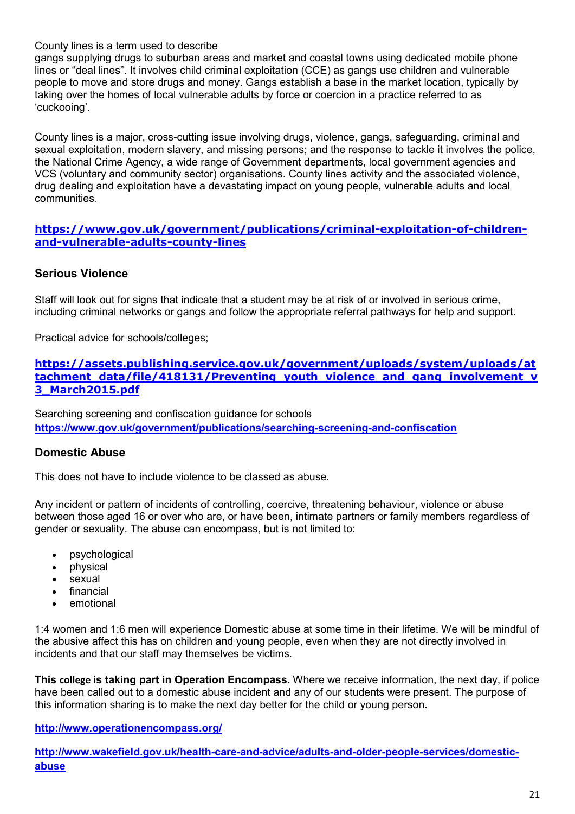County lines is a term used to describe

gangs supplying drugs to suburban areas and market and coastal towns using dedicated mobile phone lines or "deal lines". It involves child criminal exploitation (CCE) as gangs use children and vulnerable people to move and store drugs and money. Gangs establish a base in the market location, typically by taking over the homes of local vulnerable adults by force or coercion in a practice referred to as 'cuckooing'.

County lines is a major, cross-cutting issue involving drugs, violence, gangs, safeguarding, criminal and sexual exploitation, modern slavery, and missing persons; and the response to tackle it involves the police, the National Crime Agency, a wide range of Government departments, local government agencies and VCS (voluntary and community sector) organisations. County lines activity and the associated violence, drug dealing and exploitation have a devastating impact on young people, vulnerable adults and local communities.

#### **[https://www.gov.uk/government/publications/criminal-exploitation-of-children](https://www.gov.uk/government/publications/criminal-exploitation-of-children-and-vulnerable-adults-county-lines)[and-vulnerable-adults-county-lines](https://www.gov.uk/government/publications/criminal-exploitation-of-children-and-vulnerable-adults-county-lines)**

#### **Serious Violence**

Staff will look out for signs that indicate that a student may be at risk of or involved in serious crime, including criminal networks or gangs and follow the appropriate referral pathways for help and support.

Practical advice for schools/colleges;

#### **[https://assets.publishing.service.gov.uk/government/uploads/system/uploads/at](https://assets.publishing.service.gov.uk/government/uploads/system/uploads/attachment_data/file/418131/Preventing_youth_violence_and_gang_involvement_v3_March2015.pdf)** tachment\_data/file/418131/Preventing\_vouth\_violence\_and\_gang\_involvement\_v **[3\\_March2015.pdf](https://assets.publishing.service.gov.uk/government/uploads/system/uploads/attachment_data/file/418131/Preventing_youth_violence_and_gang_involvement_v3_March2015.pdf)**

Searching screening and confiscation guidance for schools **<https://www.gov.uk/government/publications/searching-screening-and-confiscation>**

#### **Domestic Abuse**

This does not have to include violence to be classed as abuse.

Any incident or pattern of incidents of controlling, coercive, threatening behaviour, violence or abuse between those aged 16 or over who are, or have been, intimate partners or family members regardless of gender or sexuality. The abuse can encompass, but is not limited to:

- psychological
- physical
- sexual
- financial
- emotional

1:4 women and 1:6 men will experience Domestic abuse at some time in their lifetime. We will be mindful of the abusive affect this has on children and young people, even when they are not directly involved in incidents and that our staff may themselves be victims.

**This college is taking part in Operation Encompass.** Where we receive information, the next day, if police have been called out to a domestic abuse incident and any of our students were present. The purpose of this information sharing is to make the next day better for the child or young person.

#### **<http://www.operationencompass.org/>**

**[http://www.wakefield.gov.uk/health-care-and-advice/adults-and-older-people-services/domestic](http://www.wakefield.gov.uk/health-care-and-advice/adults-and-older-people-services/domestic-abuse)[abuse](http://www.wakefield.gov.uk/health-care-and-advice/adults-and-older-people-services/domestic-abuse)**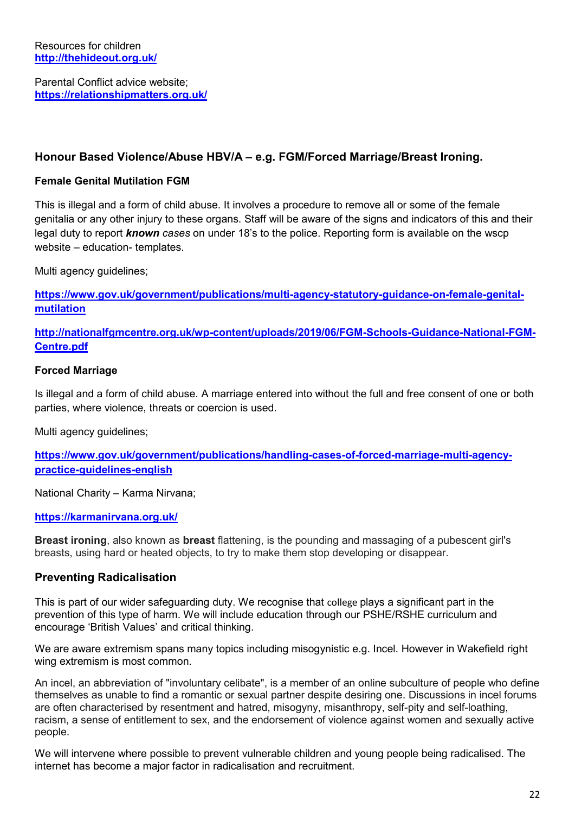Parental Conflict advice website; **<https://relationshipmatters.org.uk/>**

#### **Honour Based Violence/Abuse HBV/A – e.g. FGM/Forced Marriage/Breast Ironing.**

#### **Female Genital Mutilation FGM**

This is illegal and a form of child abuse. It involves a procedure to remove all or some of the female genitalia or any other injury to these organs. Staff will be aware of the signs and indicators of this and their legal duty to report *known cases* on under 18's to the police. Reporting form is available on the wscp website – education- templates.

Multi agency guidelines;

[https://www.gov.uk/government/publications/multi-agency-statutory-guidance-on-female-genital](https://www.gov.uk/government/publications/multi-agency-statutory-guidance-on-female-genital-mutilation)**[mutilation](https://www.gov.uk/government/publications/multi-agency-statutory-guidance-on-female-genital-mutilation)**

**[http://nationalfgmcentre.org.uk/wp-content/uploads/2019/06/FGM-Schools-Guidance-National-FGM-](http://nationalfgmcentre.org.uk/wp-content/uploads/2019/06/FGM-Schools-Guidance-National-FGM-Centre.pdf)[Centre.pdf](http://nationalfgmcentre.org.uk/wp-content/uploads/2019/06/FGM-Schools-Guidance-National-FGM-Centre.pdf)**

#### **Forced Marriage**

Is illegal and a form of child abuse. A marriage entered into without the full and free consent of one or both parties, where violence, threats or coercion is used.

Multi agency guidelines;

**[https://www.gov.uk/government/publications/handling-cases-of-forced-marriage-multi-agency](https://www.gov.uk/government/publications/handling-cases-of-forced-marriage-multi-agency-practice-guidelines-english)[practice-guidelines-english](https://www.gov.uk/government/publications/handling-cases-of-forced-marriage-multi-agency-practice-guidelines-english)**

National Charity – Karma Nirvana;

#### **<https://karmanirvana.org.uk/>**

**Breast ironing**, also known as **breast** flattening, is the pounding and massaging of a pubescent girl's breasts, using hard or heated objects, to try to make them stop developing or disappear.

#### **Preventing Radicalisation**

This is part of our wider safeguarding duty. We recognise that college plays a significant part in the prevention of this type of harm. We will include education through our PSHE/RSHE curriculum and encourage 'British Values' and critical thinking.

We are aware extremism spans many topics including misogynistic e.g. Incel. However in Wakefield right wing extremism is most common.

An incel, an abbreviation of "involuntary celibate", is a member of an online subculture of people who define themselves as unable to find a romantic or sexual partner despite desiring one. Discussions in incel forums are often characterised by resentment and hatred, misogyny, misanthropy, self-pity and self-loathing, racism, a sense of entitlement to sex, and the endorsement of violence against women and sexually active people.

We will intervene where possible to prevent vulnerable children and young people being radicalised. The internet has become a major factor in radicalisation and recruitment.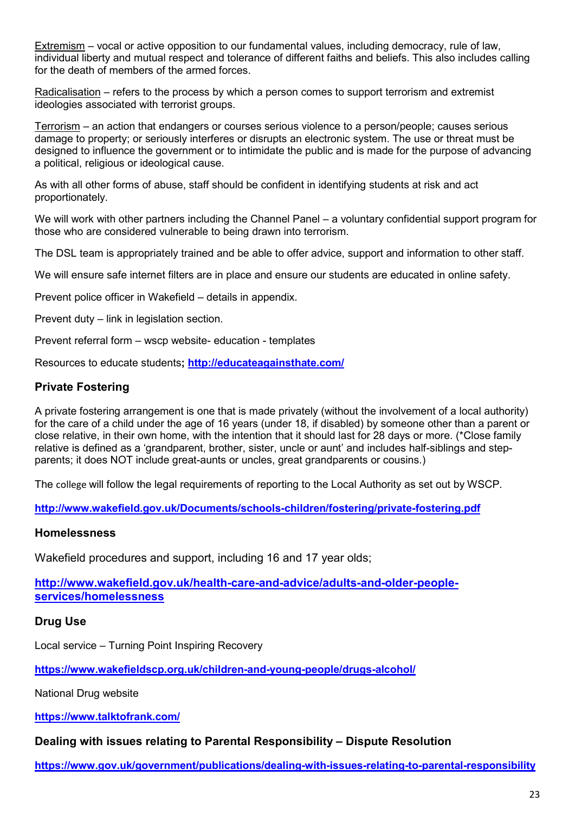Extremism – vocal or active opposition to our fundamental values, including democracy, rule of law, individual liberty and mutual respect and tolerance of different faiths and beliefs. This also includes calling for the death of members of the armed forces.

Radicalisation – refers to the process by which a person comes to support terrorism and extremist ideologies associated with terrorist groups.

Terrorism – an action that endangers or courses serious violence to a person/people; causes serious damage to property; or seriously interferes or disrupts an electronic system. The use or threat must be designed to influence the government or to intimidate the public and is made for the purpose of advancing a political, religious or ideological cause.

As with all other forms of abuse, staff should be confident in identifying students at risk and act proportionately.

We will work with other partners including the Channel Panel – a voluntary confidential support program for those who are considered vulnerable to being drawn into terrorism.

The DSL team is appropriately trained and be able to offer advice, support and information to other staff.

We will ensure safe internet filters are in place and ensure our students are educated in online safety.

Prevent police officer in Wakefield – details in appendix.

Prevent duty – link in legislation section.

Prevent referral form – wscp website- education - templates

Resources to educate students**;<http://educateagainsthate.com/>**

#### **Private Fostering**

A private fostering arrangement is one that is made privately (without the involvement of a local authority) for the care of a child under the age of 16 years (under 18, if disabled) by someone other than a parent or close relative, in their own home, with the intention that it should last for 28 days or more. (\*Close family relative is defined as a 'grandparent, brother, sister, uncle or aunt' and includes half-siblings and stepparents; it does NOT include great-aunts or uncles, great grandparents or cousins.)

The college will follow the legal requirements of reporting to the Local Authority as set out by WSCP.

**<http://www.wakefield.gov.uk/Documents/schools-children/fostering/private-fostering.pdf>**

#### **Homelessness**

Wakefield procedures and support, including 16 and 17 year olds;

**[http://www.wakefield.gov.uk/health-care-and-advice/adults-and-older-people](http://www.wakefield.gov.uk/health-care-and-advice/adults-and-older-people-services/homelessness)[services/homelessness](http://www.wakefield.gov.uk/health-care-and-advice/adults-and-older-people-services/homelessness)**

#### **Drug Use**

Local service – Turning Point Inspiring Recovery

**<https://www.wakefieldscp.org.uk/children-and-young-people/drugs-alcohol/>**

National Drug website

**<https://www.talktofrank.com/>**

#### **Dealing with issues relating to Parental Responsibility – Dispute Resolution**

**<https://www.gov.uk/government/publications/dealing-with-issues-relating-to-parental-responsibility>**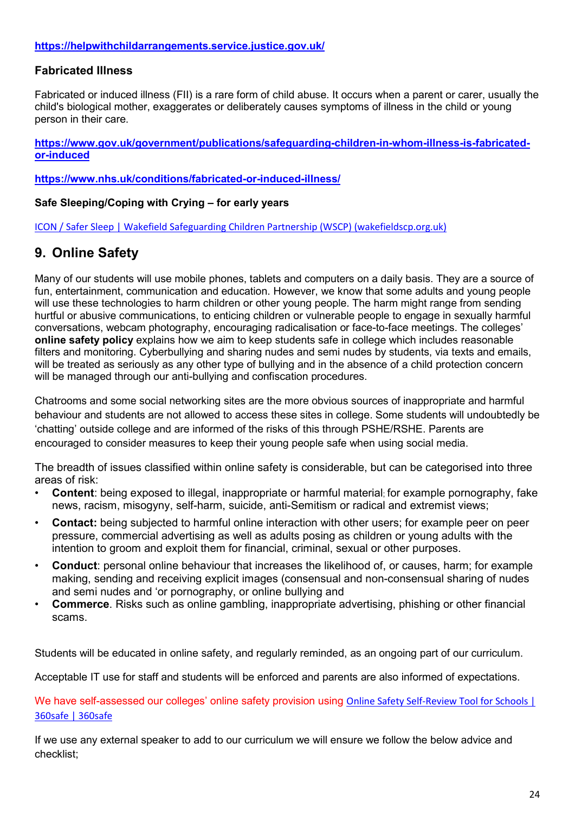#### **<https://helpwithchildarrangements.service.justice.gov.uk/>**

#### **Fabricated Illness**

Fabricated or induced illness (FII) is a rare form of child abuse. It occurs when a parent or carer, usually the child's biological mother, exaggerates or deliberately causes symptoms of illness in the child or young person in their care.

**[https://www.gov.uk/government/publications/safeguarding-children-in-whom-illness-is-fabricated](https://www.gov.uk/government/publications/safeguarding-children-in-whom-illness-is-fabricated-or-induced)[or-induced](https://www.gov.uk/government/publications/safeguarding-children-in-whom-illness-is-fabricated-or-induced)**

**<https://www.nhs.uk/conditions/fabricated-or-induced-illness/>**

#### **Safe Sleeping/Coping with Crying – for early years**

[ICON / Safer Sleep | Wakefield Safeguarding Children Partnership \(WSCP\) \(wakefieldscp.org.uk\)](https://www.wakefieldscp.org.uk/professionals-and-practitioners/icon/)

## **9. Online Safety**

Many of our students will use mobile phones, tablets and computers on a daily basis. They are a source of fun, entertainment, communication and education. However, we know that some adults and young people will use these technologies to harm children or other young people. The harm might range from sending hurtful or abusive communications, to enticing children or vulnerable people to engage in sexually harmful conversations, webcam photography, encouraging radicalisation or face-to-face meetings. The colleges' **online safety policy** explains how we aim to keep students safe in college which includes reasonable filters and monitoring. Cyberbullying and sharing nudes and semi nudes by students, via texts and emails, will be treated as seriously as any other type of bullying and in the absence of a child protection concern will be managed through our anti-bullying and confiscation procedures.

Chatrooms and some social networking sites are the more obvious sources of inappropriate and harmful behaviour and students are not allowed to access these sites in college. Some students will undoubtedly be 'chatting' outside college and are informed of the risks of this through PSHE/RSHE. Parents are encouraged to consider measures to keep their young people safe when using social media.

The breadth of issues classified within online safety is considerable, but can be categorised into three areas of risk:

- **Content**: being exposed to illegal, inappropriate or harmful material; for example pornography, fake news, racism, misogyny, self-harm, suicide, anti-Semitism or radical and extremist views;
- **Contact:** being subjected to harmful online interaction with other users; for example peer on peer pressure, commercial advertising as well as adults posing as children or young adults with the intention to groom and exploit them for financial, criminal, sexual or other purposes.
- **Conduct**: personal online behaviour that increases the likelihood of, or causes, harm; for example making, sending and receiving explicit images (consensual and non-consensual sharing of nudes and semi nudes and 'or pornography, or online bullying and
- **Commerce**. Risks such as online gambling, inappropriate advertising, phishing or other financial scams.

Students will be educated in online safety, and regularly reminded, as an ongoing part of our curriculum.

Acceptable IT use for staff and students will be enforced and parents are also informed of expectations.

We have self-assessed our colleges' online safety provision using Online Safety Self-Review Tool for Schools | [360safe | 360safe](https://360safe.org.uk/)

If we use any external speaker to add to our curriculum we will ensure we follow the below advice and checklist;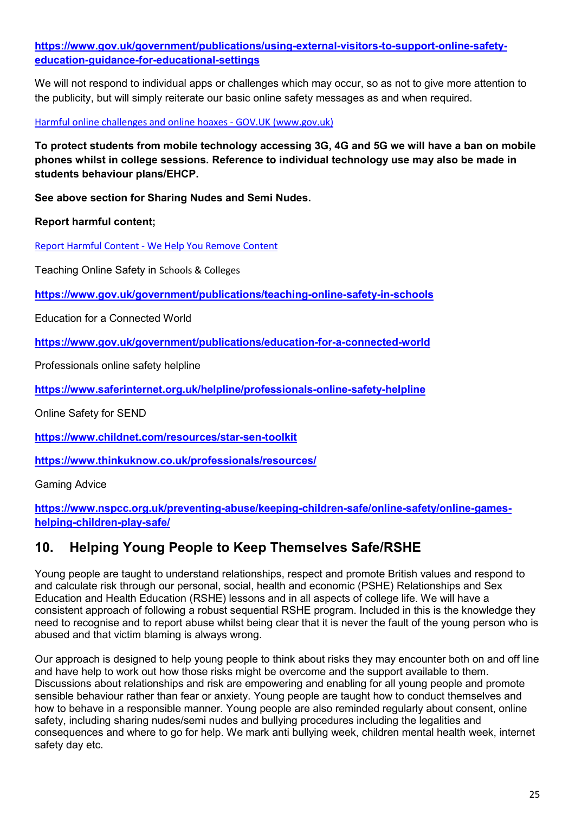#### **[https://www.gov.uk/government/publications/using-external-visitors-to-support-online-safety](https://www.gov.uk/government/publications/using-external-visitors-to-support-online-safety-education-guidance-for-educational-settings)[education-guidance-for-educational-settings](https://www.gov.uk/government/publications/using-external-visitors-to-support-online-safety-education-guidance-for-educational-settings)**

We will not respond to individual apps or challenges which may occur, so as not to give more attention to the publicity, but will simply reiterate our basic online safety messages as and when required.

[Harmful online challenges and online hoaxes - GOV.UK \(www.gov.uk\)](https://www.gov.uk/government/publications/harmful-online-challenges-and-online-hoaxes)

**To protect students from mobile technology accessing 3G, 4G and 5G we will have a ban on mobile phones whilst in college sessions. Reference to individual technology use may also be made in students behaviour plans/EHCP.** 

**See above section for Sharing Nudes and Semi Nudes.**

**Report harmful content;**

[Report Harmful Content - We Help You Remove Content](https://reportharmfulcontent.com/)

Teaching Online Safety in Schools & Colleges

**<https://www.gov.uk/government/publications/teaching-online-safety-in-schools>**

Education for a Connected World

**<https://www.gov.uk/government/publications/education-for-a-connected-world>**

Professionals online safety helpline

**<https://www.saferinternet.org.uk/helpline/professionals-online-safety-helpline>**

Online Safety for SEND

**<https://www.childnet.com/resources/star-sen-toolkit>**

**<https://www.thinkuknow.co.uk/professionals/resources/>**

Gaming Advice

**[https://www.nspcc.org.uk/preventing-abuse/keeping-children-safe/online-safety/online-games](https://www.nspcc.org.uk/preventing-abuse/keeping-children-safe/online-safety/online-games-helping-children-play-safe/)[helping-children-play-safe/](https://www.nspcc.org.uk/preventing-abuse/keeping-children-safe/online-safety/online-games-helping-children-play-safe/)**

#### **10. Helping Young People to Keep Themselves Safe/RSHE**

Young people are taught to understand relationships, respect and promote British values and respond to and calculate risk through our personal, social, health and economic (PSHE) Relationships and Sex Education and Health Education (RSHE) lessons and in all aspects of college life. We will have a consistent approach of following a robust sequential RSHE program. Included in this is the knowledge they need to recognise and to report abuse whilst being clear that it is never the fault of the young person who is abused and that victim blaming is always wrong.

Our approach is designed to help young people to think about risks they may encounter both on and off line and have help to work out how those risks might be overcome and the support available to them. Discussions about relationships and risk are empowering and enabling for all young people and promote sensible behaviour rather than fear or anxiety. Young people are taught how to conduct themselves and how to behave in a responsible manner. Young people are also reminded regularly about consent, online safety, including sharing nudes/semi nudes and bullying procedures including the legalities and consequences and where to go for help. We mark anti bullying week, children mental health week, internet safety day etc.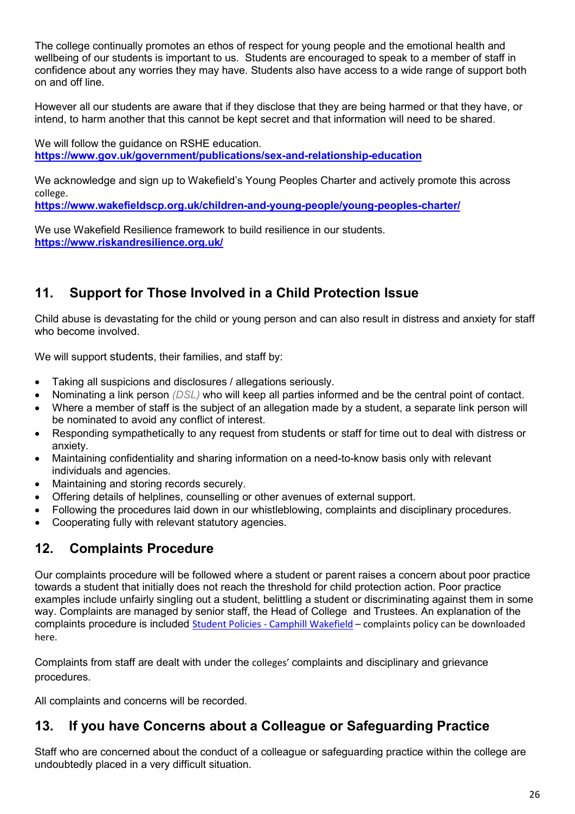The college continually promotes an ethos of respect for young people and the emotional health and wellbeing of our students is important to us. Students are encouraged to speak to a member of staff in confidence about any worries they may have. Students also have access to a wide range of support both on and off line.

However all our students are aware that if they disclose that they are being harmed or that they have, or intend, to harm another that this cannot be kept secret and that information will need to be shared.

We will follow the guidance on RSHE education. **<https://www.gov.uk/government/publications/sex-and-relationship-education>**

We acknowledge and sign up to Wakefield's Young Peoples Charter and actively promote this across college.

**<https://www.wakefieldscp.org.uk/children-and-young-people/young-peoples-charter/>**

We use Wakefield Resilience framework to build resilience in our students. **<https://www.riskandresilience.org.uk/>**

## **11. Support for Those Involved in a Child Protection Issue**

Child abuse is devastating for the child or young person and can also result in distress and anxiety for staff who become involved.

We will support students, their families, and staff by:

- Taking all suspicions and disclosures / allegations seriously.
- Nominating a link person *(DSL)* who will keep all parties informed and be the central point of contact.
- Where a member of staff is the subject of an allegation made by a student, a separate link person will be nominated to avoid any conflict of interest.
- Responding sympathetically to any request from students or staff for time out to deal with distress or anxiety.
- Maintaining confidentiality and sharing information on a need-to-know basis only with relevant individuals and agencies.
- Maintaining and storing records securely.
- Offering details of helplines, counselling or other avenues of external support.
- Following the procedures laid down in our whistleblowing, complaints and disciplinary procedures.
- Cooperating fully with relevant statutory agencies.

## **12. Complaints Procedure**

Our complaints procedure will be followed where a student or parent raises a concern about poor practice towards a student that initially does not reach the threshold for child protection action. Poor practice examples include unfairly singling out a student, belittling a student or discriminating against them in some way. Complaints are managed by senior staff, the Head of College and Trustees. An explanation of the complaints procedure is included [Student Policies - Camphill Wakefield](https://camphill.ac.uk/student-policies/) – complaints policy can be downloaded here.

Complaints from staff are dealt with under the colleges' complaints and disciplinary and grievance procedures.

All complaints and concerns will be recorded.

## **13. If you have Concerns about a Colleague or Safeguarding Practice**

Staff who are concerned about the conduct of a colleague or safeguarding practice within the college are undoubtedly placed in a very difficult situation.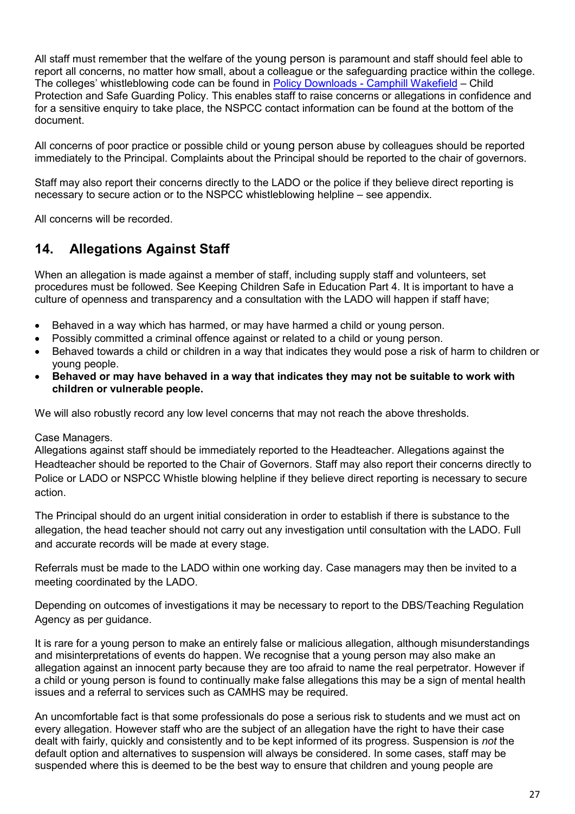All staff must remember that the welfare of the young person is paramount and staff should feel able to report all concerns, no matter how small, about a colleague or the safeguarding practice within the college. The colleges' whistleblowing code can be found in [Policy Downloads - Camphill Wakefield](https://camphill.ac.uk/policy-downloads/) – Child Protection and Safe Guarding Policy. This enables staff to raise concerns or allegations in confidence and for a sensitive enquiry to take place, the NSPCC contact information can be found at the bottom of the document.

All concerns of poor practice or possible child or young person abuse by colleagues should be reported immediately to the Principal. Complaints about the Principal should be reported to the chair of governors.

Staff may also report their concerns directly to the LADO or the police if they believe direct reporting is necessary to secure action or to the NSPCC whistleblowing helpline – see appendix.

All concerns will be recorded.

## **14. Allegations Against Staff**

When an allegation is made against a member of staff, including supply staff and volunteers, set procedures must be followed. See Keeping Children Safe in Education Part 4. It is important to have a culture of openness and transparency and a consultation with the LADO will happen if staff have;

- Behaved in a way which has harmed, or may have harmed a child or young person.
- Possibly committed a criminal offence against or related to a child or young person.
- Behaved towards a child or children in a way that indicates they would pose a risk of harm to children or young people.
- **Behaved or may have behaved in a way that indicates they may not be suitable to work with children or vulnerable people.**

We will also robustly record any low level concerns that may not reach the above thresholds.

#### Case Managers.

Allegations against staff should be immediately reported to the Headteacher. Allegations against the Headteacher should be reported to the Chair of Governors. Staff may also report their concerns directly to Police or LADO or NSPCC Whistle blowing helpline if they believe direct reporting is necessary to secure action.

The Principal should do an urgent initial consideration in order to establish if there is substance to the allegation, the head teacher should not carry out any investigation until consultation with the LADO. Full and accurate records will be made at every stage.

Referrals must be made to the LADO within one working day. Case managers may then be invited to a meeting coordinated by the LADO.

Depending on outcomes of investigations it may be necessary to report to the DBS/Teaching Regulation Agency as per guidance.

It is rare for a young person to make an entirely false or malicious allegation, although misunderstandings and misinterpretations of events do happen. We recognise that a young person may also make an allegation against an innocent party because they are too afraid to name the real perpetrator. However if a child or young person is found to continually make false allegations this may be a sign of mental health issues and a referral to services such as CAMHS may be required.

An uncomfortable fact is that some professionals do pose a serious risk to students and we must act on every allegation. However staff who are the subject of an allegation have the right to have their case dealt with fairly, quickly and consistently and to be kept informed of its progress. Suspension is *not* the default option and alternatives to suspension will always be considered. In some cases, staff may be suspended where this is deemed to be the best way to ensure that children and young people are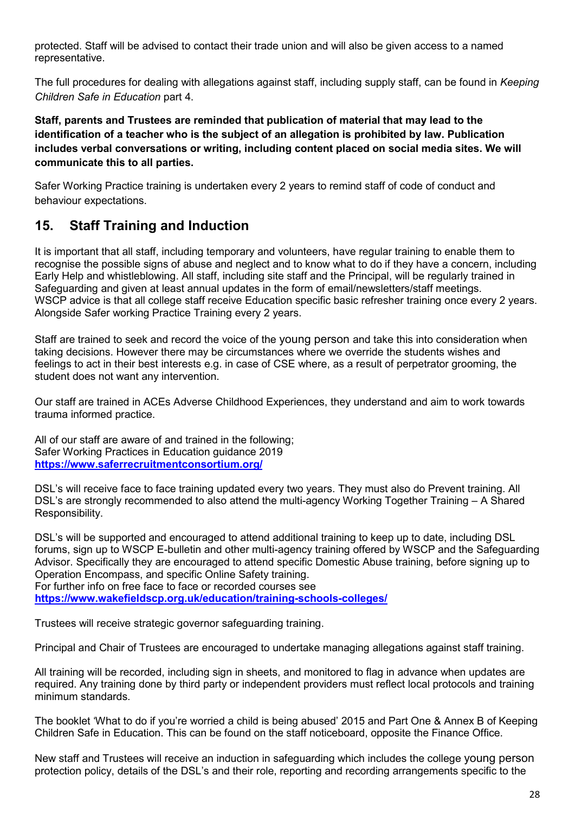protected. Staff will be advised to contact their trade union and will also be given access to a named representative.

The full procedures for dealing with allegations against staff, including supply staff, can be found in *Keeping Children Safe in Education* part 4.

**Staff, parents and Trustees are reminded that publication of material that may lead to the identification of a teacher who is the subject of an allegation is prohibited by law. Publication includes verbal conversations or writing, including content placed on social media sites. We will communicate this to all parties.** 

Safer Working Practice training is undertaken every 2 years to remind staff of code of conduct and behaviour expectations.

#### **15. Staff Training and Induction**

It is important that all staff, including temporary and volunteers, have regular training to enable them to recognise the possible signs of abuse and neglect and to know what to do if they have a concern, including Early Help and whistleblowing. All staff, including site staff and the Principal, will be regularly trained in Safeguarding and given at least annual updates in the form of email/newsletters/staff meetings. WSCP advice is that all college staff receive Education specific basic refresher training once every 2 years. Alongside Safer working Practice Training every 2 years.

Staff are trained to seek and record the voice of the young person and take this into consideration when taking decisions. However there may be circumstances where we override the students wishes and feelings to act in their best interests e.g. in case of CSE where, as a result of perpetrator grooming, the student does not want any intervention.

Our staff are trained in ACEs Adverse Childhood Experiences, they understand and aim to work towards trauma informed practice.

All of our staff are aware of and trained in the following; Safer Working Practices in Education guidance 2019 **<https://www.saferrecruitmentconsortium.org/>**

DSL's will receive face to face training updated every two years. They must also do Prevent training. All DSL's are strongly recommended to also attend the multi-agency Working Together Training – A Shared Responsibility.

DSL's will be supported and encouraged to attend additional training to keep up to date, including DSL forums, sign up to WSCP E-bulletin and other multi-agency training offered by WSCP and the Safeguarding Advisor. Specifically they are encouraged to attend specific Domestic Abuse training, before signing up to Operation Encompass, and specific Online Safety training. For further info on free face to face or recorded courses see **<https://www.wakefieldscp.org.uk/education/training-schools-colleges/>**

Trustees will receive strategic governor safeguarding training.

Principal and Chair of Trustees are encouraged to undertake managing allegations against staff training.

All training will be recorded, including sign in sheets, and monitored to flag in advance when updates are required. Any training done by third party or independent providers must reflect local protocols and training minimum standards.

The booklet 'What to do if you're worried a child is being abused' 2015 and Part One & Annex B of Keeping Children Safe in Education. This can be found on the staff noticeboard, opposite the Finance Office.

New staff and Trustees will receive an induction in safeguarding which includes the college young person protection policy, details of the DSL's and their role, reporting and recording arrangements specific to the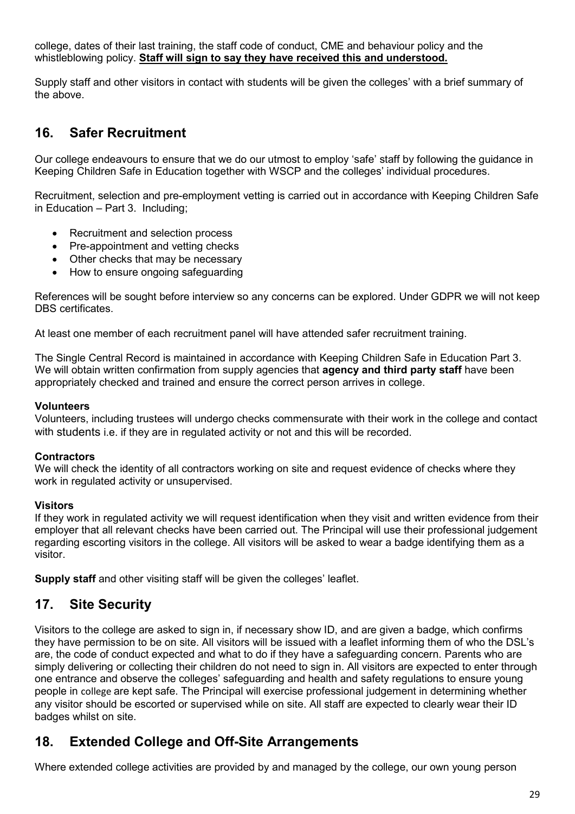college, dates of their last training, the staff code of conduct, CME and behaviour policy and the whistleblowing policy. **Staff will sign to say they have received this and understood.**

Supply staff and other visitors in contact with students will be given the colleges' with a brief summary of the above.

## **16. Safer Recruitment**

Our college endeavours to ensure that we do our utmost to employ 'safe' staff by following the guidance in Keeping Children Safe in Education together with WSCP and the colleges' individual procedures.

Recruitment, selection and pre-employment vetting is carried out in accordance with Keeping Children Safe in Education – Part 3. Including;

- Recruitment and selection process
- Pre-appointment and vetting checks
- Other checks that may be necessary
- How to ensure ongoing safeguarding

References will be sought before interview so any concerns can be explored. Under GDPR we will not keep DBS certificates.

At least one member of each recruitment panel will have attended safer recruitment training.

The Single Central Record is maintained in accordance with Keeping Children Safe in Education Part 3. We will obtain written confirmation from supply agencies that **agency and third party staff** have been appropriately checked and trained and ensure the correct person arrives in college.

#### **Volunteers**

Volunteers, including trustees will undergo checks commensurate with their work in the college and contact with students i.e. if they are in regulated activity or not and this will be recorded.

#### **Contractors**

We will check the identity of all contractors working on site and request evidence of checks where they work in regulated activity or unsupervised.

#### **Visitors**

If they work in regulated activity we will request identification when they visit and written evidence from their employer that all relevant checks have been carried out. The Principal will use their professional judgement regarding escorting visitors in the college. All visitors will be asked to wear a badge identifying them as a visitor.

**Supply staff** and other visiting staff will be given the colleges' leaflet.

#### **17. Site Security**

Visitors to the college are asked to sign in, if necessary show ID, and are given a badge, which confirms they have permission to be on site. All visitors will be issued with a leaflet informing them of who the DSL's are, the code of conduct expected and what to do if they have a safeguarding concern. Parents who are simply delivering or collecting their children do not need to sign in. All visitors are expected to enter through one entrance and observe the colleges' safeguarding and health and safety regulations to ensure young people in college are kept safe. The Principal will exercise professional judgement in determining whether any visitor should be escorted or supervised while on site. All staff are expected to clearly wear their ID badges whilst on site.

#### **18. Extended College and Off-Site Arrangements**

Where extended college activities are provided by and managed by the college, our own young person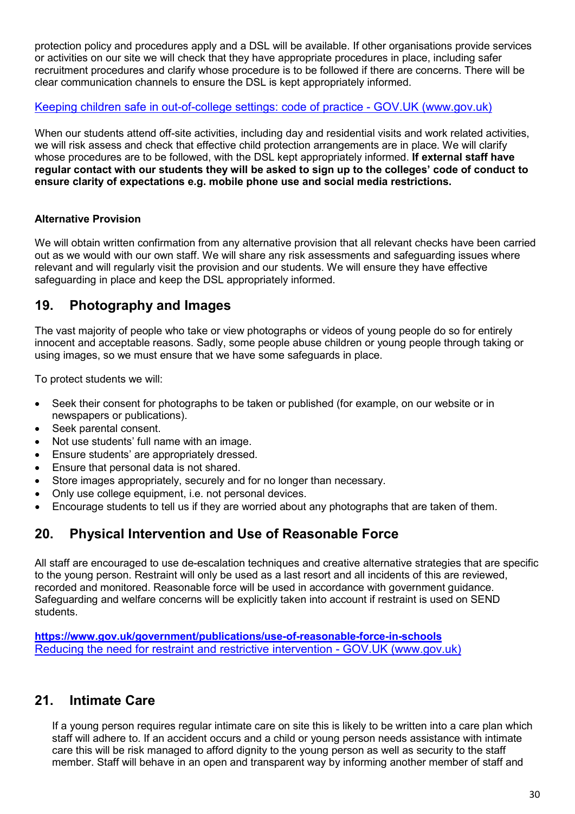protection policy and procedures apply and a DSL will be available. If other organisations provide services or activities on our site we will check that they have appropriate procedures in place, including safer recruitment procedures and clarify whose procedure is to be followed if there are concerns. There will be clear communication channels to ensure the DSL is kept appropriately informed.

#### Keeping children safe in out-of-college settings: code of practice - GOV.UK (www.gov.uk)

When our students attend off-site activities, including day and residential visits and work related activities, we will risk assess and check that effective child protection arrangements are in place. We will clarify whose procedures are to be followed, with the DSL kept appropriately informed. **If external staff have regular contact with our students they will be asked to sign up to the colleges' code of conduct to ensure clarity of expectations e.g. mobile phone use and social media restrictions.**

#### **Alternative Provision**

We will obtain written confirmation from any alternative provision that all relevant checks have been carried out as we would with our own staff. We will share any risk assessments and safeguarding issues where relevant and will regularly visit the provision and our students. We will ensure they have effective safeguarding in place and keep the DSL appropriately informed.

### **19. Photography and Images**

The vast majority of people who take or view photographs or videos of young people do so for entirely innocent and acceptable reasons. Sadly, some people abuse children or young people through taking or using images, so we must ensure that we have some safeguards in place.

To protect students we will:

- Seek their consent for photographs to be taken or published (for example, on our website or in newspapers or publications).
- Seek parental consent.
- Not use students' full name with an image.
- Ensure students' are appropriately dressed.
- Ensure that personal data is not shared.
- Store images appropriately, securely and for no longer than necessary.
- Only use college equipment, i.e. not personal devices.
- Encourage students to tell us if they are worried about any photographs that are taken of them.

## **20. Physical Intervention and Use of Reasonable Force**

All staff are encouraged to use de-escalation techniques and creative alternative strategies that are specific to the young person. Restraint will only be used as a last resort and all incidents of this are reviewed, recorded and monitored. Reasonable force will be used in accordance with government guidance. Safeguarding and welfare concerns will be explicitly taken into account if restraint is used on SEND students.

**<https://www.gov.uk/government/publications/use-of-reasonable-force-in-schools>** [Reducing the need for restraint and restrictive intervention - GOV.UK \(www.gov.uk\)](https://www.gov.uk/government/publications/reducing-the-need-for-restraint-and-restrictive-intervention)

#### **21. Intimate Care**

If a young person requires regular intimate care on site this is likely to be written into a care plan which staff will adhere to. If an accident occurs and a child or young person needs assistance with intimate care this will be risk managed to afford dignity to the young person as well as security to the staff member. Staff will behave in an open and transparent way by informing another member of staff and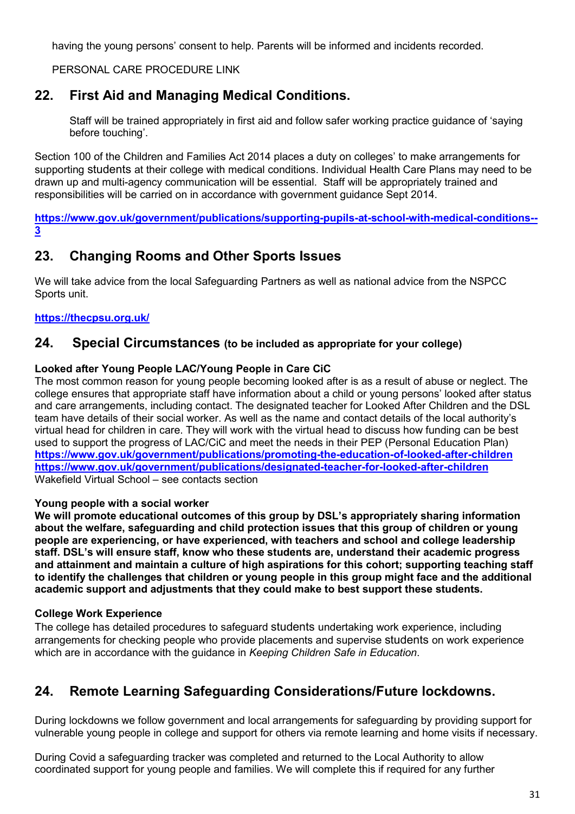having the young persons' consent to help. Parents will be informed and incidents recorded.

PERSONAL CARE PROCEDURE LINK

## **22. First Aid and Managing Medical Conditions.**

Staff will be trained appropriately in first aid and follow safer working practice guidance of 'saying before touching'.

Section 100 of the Children and Families Act 2014 places a duty on colleges' to make arrangements for supporting students at their college with medical conditions. Individual Health Care Plans may need to be drawn up and multi-agency communication will be essential. Staff will be appropriately trained and responsibilities will be carried on in accordance with government guidance Sept 2014.

**[https://www.gov.uk/government/publications/supporting-pupils-at-school-with-medical-conditions--](https://www.gov.uk/government/publications/supporting-pupils-at-school-with-medical-conditions--3) [3](https://www.gov.uk/government/publications/supporting-pupils-at-school-with-medical-conditions--3)**

## **23. Changing Rooms and Other Sports Issues**

We will take advice from the local Safeguarding Partners as well as national advice from the NSPCC Sports unit.

#### **<https://thecpsu.org.uk/>**

#### **24. Special Circumstances (to be included as appropriate for your college)**

#### **Looked after Young People LAC/Young People in Care CiC**

The most common reason for young people becoming looked after is as a result of abuse or neglect. The college ensures that appropriate staff have information about a child or young persons' looked after status and care arrangements, including contact. The designated teacher for Looked After Children and the DSL team have details of their social worker. As well as the name and contact details of the local authority's virtual head for children in care. They will work with the virtual head to discuss how funding can be best used to support the progress of LAC/CiC and meet the needs in their PEP (Personal Education Plan) **<https://www.gov.uk/government/publications/promoting-the-education-of-looked-after-children> <https://www.gov.uk/government/publications/designated-teacher-for-looked-after-children>** Wakefield Virtual School – see contacts section

#### **Young people with a social worker**

**We will promote educational outcomes of this group by DSL's appropriately sharing information about the welfare, safeguarding and child protection issues that this group of children or young people are experiencing, or have experienced, with teachers and school and college leadership staff. DSL's will ensure staff, know who these students are, understand their academic progress and attainment and maintain a culture of high aspirations for this cohort; supporting teaching staff to identify the challenges that children or young people in this group might face and the additional academic support and adjustments that they could make to best support these students.**

#### **College Work Experience**

The college has detailed procedures to safeguard students undertaking work experience, including arrangements for checking people who provide placements and supervise students on work experience which are in accordance with the guidance in *Keeping Children Safe in Education*.

## **24. Remote Learning Safeguarding Considerations/Future lockdowns.**

During lockdowns we follow government and local arrangements for safeguarding by providing support for vulnerable young people in college and support for others via remote learning and home visits if necessary.

During Covid a safeguarding tracker was completed and returned to the Local Authority to allow coordinated support for young people and families. We will complete this if required for any further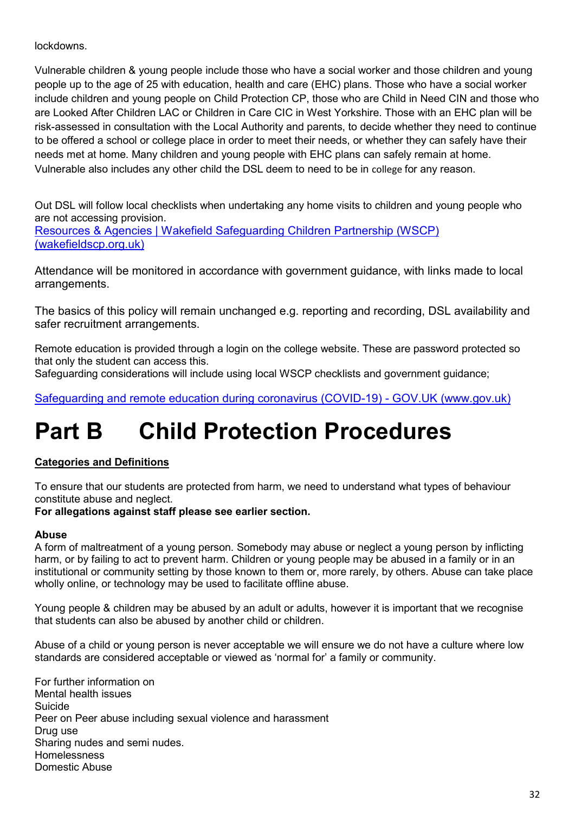lockdowns.

Vulnerable children & young people include those who have a social worker and those children and young people up to the age of 25 with education, health and care (EHC) plans. Those who have a social worker include children and young people on Child Protection CP, those who are Child in Need CIN and those who are Looked After Children LAC or Children in Care CIC in West Yorkshire. Those with an EHC plan will be risk-assessed in consultation with the Local Authority and parents, to decide whether they need to continue to be offered a school or college place in order to meet their needs, or whether they can safely have their needs met at home. Many children and young people with EHC plans can safely remain at home. Vulnerable also includes any other child the DSL deem to need to be in college for any reason.

Out DSL will follow local checklists when undertaking any home visits to children and young people who are not accessing provision. [Resources & Agencies | Wakefield Safeguarding Children Partnership \(WSCP\)](https://www.wakefieldscp.org.uk/education/education-resources/)  [\(wakefieldscp.org.uk\)](https://www.wakefieldscp.org.uk/education/education-resources/)

Attendance will be monitored in accordance with government guidance, with links made to local arrangements.

The basics of this policy will remain unchanged e.g. reporting and recording, DSL availability and safer recruitment arrangements.

Remote education is provided through a login on the college website. These are password protected so that only the student can access this.

Safeguarding considerations will include using local WSCP checklists and government guidance;

[Safeguarding and remote education during coronavirus \(COVID-19\) - GOV.UK \(www.gov.uk\)](https://www.gov.uk/guidance/safeguarding-and-remote-education-during-coronavirus-covid-19)

## **Part B Child Protection Procedures**

#### **Categories and Definitions**

To ensure that our students are protected from harm, we need to understand what types of behaviour constitute abuse and neglect.

#### **For allegations against staff please see earlier section.**

#### **Abuse**

A form of maltreatment of a young person. Somebody may abuse or neglect a young person by inflicting harm, or by failing to act to prevent harm. Children or young people may be abused in a family or in an institutional or community setting by those known to them or, more rarely, by others. Abuse can take place wholly online, or technology may be used to facilitate offline abuse.

Young people & children may be abused by an adult or adults, however it is important that we recognise that students can also be abused by another child or children.

Abuse of a child or young person is never acceptable we will ensure we do not have a culture where low standards are considered acceptable or viewed as 'normal for' a family or community.

For further information on Mental health issues Suicide Peer on Peer abuse including sexual violence and harassment Drug use Sharing nudes and semi nudes. Homelessness Domestic Abuse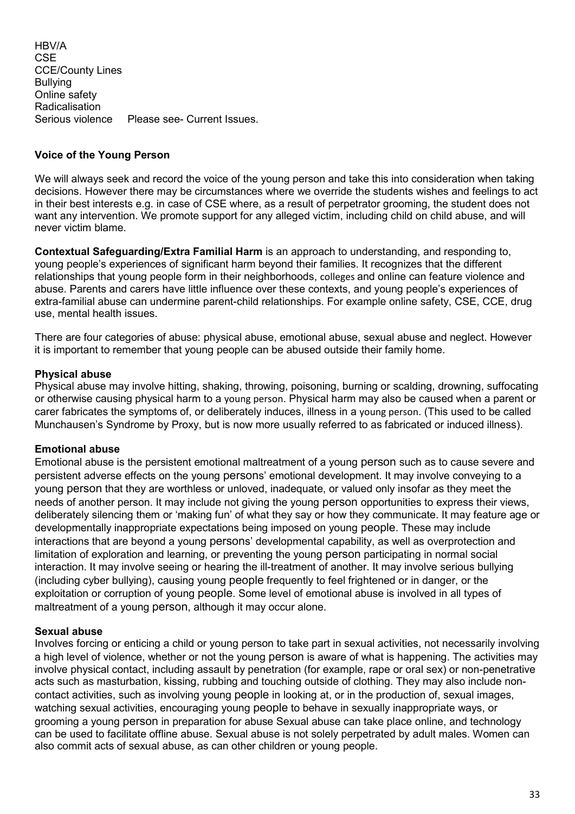HBV/A **CSE** CCE/County Lines Bullying Online safety Radicalisation Serious violence Please see- Current Issues.

#### **Voice of the Young Person**

We will always seek and record the voice of the young person and take this into consideration when taking decisions. However there may be circumstances where we override the students wishes and feelings to act in their best interests e.g. in case of CSE where, as a result of perpetrator grooming, the student does not want any intervention. We promote support for any alleged victim, including child on child abuse, and will never victim blame.

**Contextual Safeguarding/Extra Familial Harm** is an approach to understanding, and responding to, young people's experiences of significant harm beyond their families. It recognizes that the different relationships that young people form in their neighborhoods, colleges and online can feature violence and abuse. Parents and carers have little influence over these contexts, and young people's experiences of extra-familial abuse can undermine parent-child relationships. For example online safety, CSE, CCE, drug use, mental health issues.

There are four categories of abuse: physical abuse, emotional abuse, sexual abuse and neglect. However it is important to remember that young people can be abused outside their family home.

#### **Physical abuse**

Physical abuse may involve hitting, shaking, throwing, poisoning, burning or scalding, drowning, suffocating or otherwise causing physical harm to a young person. Physical harm may also be caused when a parent or carer fabricates the symptoms of, or deliberately induces, illness in a young person. (This used to be called Munchausen's Syndrome by Proxy, but is now more usually referred to as fabricated or induced illness).

#### **Emotional abuse**

Emotional abuse is the persistent emotional maltreatment of a young person such as to cause severe and persistent adverse effects on the young persons' emotional development. It may involve conveying to a young person that they are worthless or unloved, inadequate, or valued only insofar as they meet the needs of another person. It may include not giving the young person opportunities to express their views, deliberately silencing them or 'making fun' of what they say or how they communicate. It may feature age or developmentally inappropriate expectations being imposed on young people. These may include interactions that are beyond a young persons' developmental capability, as well as overprotection and limitation of exploration and learning, or preventing the young person participating in normal social interaction. It may involve seeing or hearing the ill-treatment of another. It may involve serious bullying (including cyber bullying), causing young people frequently to feel frightened or in danger, or the exploitation or corruption of young people. Some level of emotional abuse is involved in all types of maltreatment of a young person, although it may occur alone.

#### **Sexual abuse**

Involves forcing or enticing a child or young person to take part in sexual activities, not necessarily involving a high level of violence, whether or not the young person is aware of what is happening. The activities may involve physical contact, including assault by penetration (for example, rape or oral sex) or non-penetrative acts such as masturbation, kissing, rubbing and touching outside of clothing. They may also include noncontact activities, such as involving young people in looking at, or in the production of, sexual images, watching sexual activities, encouraging young people to behave in sexually inappropriate ways, or grooming a young person in preparation for abuse Sexual abuse can take place online, and technology can be used to facilitate offline abuse. Sexual abuse is not solely perpetrated by adult males. Women can also commit acts of sexual abuse, as can other children or young people.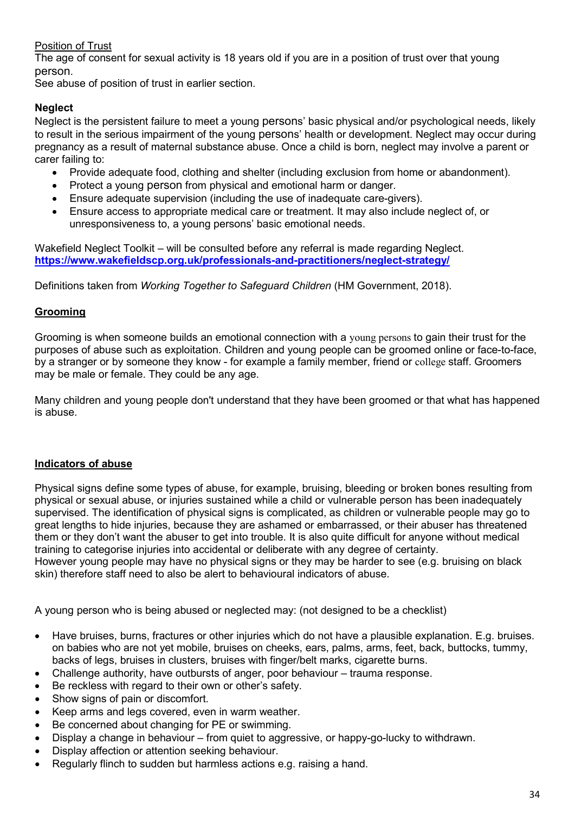#### Position of Trust

The age of consent for sexual activity is 18 years old if you are in a position of trust over that young person.

See abuse of position of trust in earlier section.

#### **Neglect**

Neglect is the persistent failure to meet a young persons' basic physical and/or psychological needs, likely to result in the serious impairment of the young persons' health or development. Neglect may occur during pregnancy as a result of maternal substance abuse. Once a child is born, neglect may involve a parent or carer failing to:

- Provide adequate food, clothing and shelter (including exclusion from home or abandonment).
- Protect a young person from physical and emotional harm or danger.
- Ensure adequate supervision (including the use of inadequate care-givers).
- Ensure access to appropriate medical care or treatment. It may also include neglect of, or unresponsiveness to, a young persons' basic emotional needs.

Wakefield Neglect Toolkit – will be consulted before any referral is made regarding Neglect. **<https://www.wakefieldscp.org.uk/professionals-and-practitioners/neglect-strategy/>**

Definitions taken from *Working Together to Safeguard Children* (HM Government, 2018).

#### **Grooming**

Grooming is when someone builds an emotional connection with a young persons to gain their trust for the purposes of abuse such as exploitation. Children and young people can be groomed online or face-to-face, by a stranger or by someone they know - for example a family member, friend or college staff. Groomers may be male or female. They could be any age.

Many children and young people don't understand that they have been groomed or that what has happened is abuse.

#### **Indicators of abuse**

Physical signs define some types of abuse, for example, bruising, bleeding or broken bones resulting from physical or sexual abuse, or injuries sustained while a child or vulnerable person has been inadequately supervised. The identification of physical signs is complicated, as children or vulnerable people may go to great lengths to hide injuries, because they are ashamed or embarrassed, or their abuser has threatened them or they don't want the abuser to get into trouble. It is also quite difficult for anyone without medical training to categorise injuries into accidental or deliberate with any degree of certainty. However young people may have no physical signs or they may be harder to see (e.g. bruising on black

skin) therefore staff need to also be alert to behavioural indicators of abuse.

A young person who is being abused or neglected may: (not designed to be a checklist)

- Have bruises, burns, fractures or other injuries which do not have a plausible explanation. E.g. bruises. on babies who are not yet mobile, bruises on cheeks, ears, palms, arms, feet, back, buttocks, tummy, backs of legs, bruises in clusters, bruises with finger/belt marks, cigarette burns.
- Challenge authority, have outbursts of anger, poor behaviour trauma response.
- Be reckless with regard to their own or other's safety.
- Show signs of pain or discomfort.
- Keep arms and legs covered, even in warm weather.
- Be concerned about changing for PE or swimming.
- Display a change in behaviour from quiet to aggressive, or happy-go-lucky to withdrawn.
- Display affection or attention seeking behaviour.
- Regularly flinch to sudden but harmless actions e.g. raising a hand.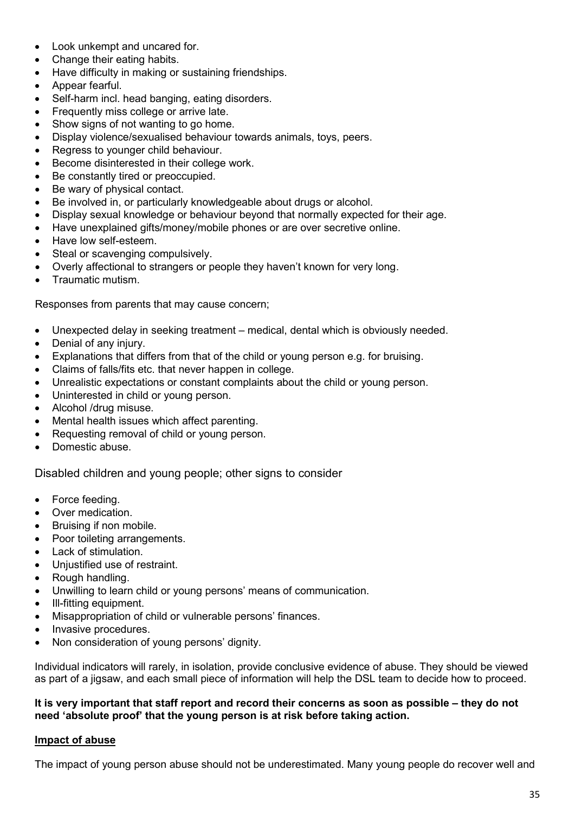- Look unkempt and uncared for.
- Change their eating habits.
- Have difficulty in making or sustaining friendships.
- Appear fearful.
- Self-harm incl. head banging, eating disorders.
- Frequently miss college or arrive late.
- Show signs of not wanting to go home.
- Display violence/sexualised behaviour towards animals, toys, peers.
- Regress to younger child behaviour.
- Become disinterested in their college work.
- Be constantly tired or preoccupied.
- Be wary of physical contact.
- Be involved in, or particularly knowledgeable about drugs or alcohol.
- Display sexual knowledge or behaviour beyond that normally expected for their age.
- Have unexplained gifts/money/mobile phones or are over secretive online.
- Have low self-esteem.
- Steal or scavenging compulsively.
- Overly affectional to strangers or people they haven't known for very long.
- Traumatic mutism.

Responses from parents that may cause concern;

- Unexpected delay in seeking treatment medical, dental which is obviously needed.
- Denial of any injury.
- Explanations that differs from that of the child or young person e.g. for bruising.
- Claims of falls/fits etc. that never happen in college.
- Unrealistic expectations or constant complaints about the child or young person.
- Uninterested in child or young person.
- Alcohol /drug misuse.
- Mental health issues which affect parenting.
- Requesting removal of child or young person.
- Domestic abuse.

Disabled children and young people; other signs to consider

- Force feeding.
- Over medication.
- Bruising if non mobile.
- Poor toileting arrangements.
- Lack of stimulation.
- Unjustified use of restraint.
- Rough handling.
- Unwilling to learn child or young persons' means of communication.
- Ill-fitting equipment.
- Misappropriation of child or vulnerable persons' finances.
- Invasive procedures.
- Non consideration of young persons' dignity.

Individual indicators will rarely, in isolation, provide conclusive evidence of abuse. They should be viewed as part of a jigsaw, and each small piece of information will help the DSL team to decide how to proceed.

#### **It is very important that staff report and record their concerns as soon as possible – they do not need 'absolute proof' that the young person is at risk before taking action.**

#### **Impact of abuse**

The impact of young person abuse should not be underestimated. Many young people do recover well and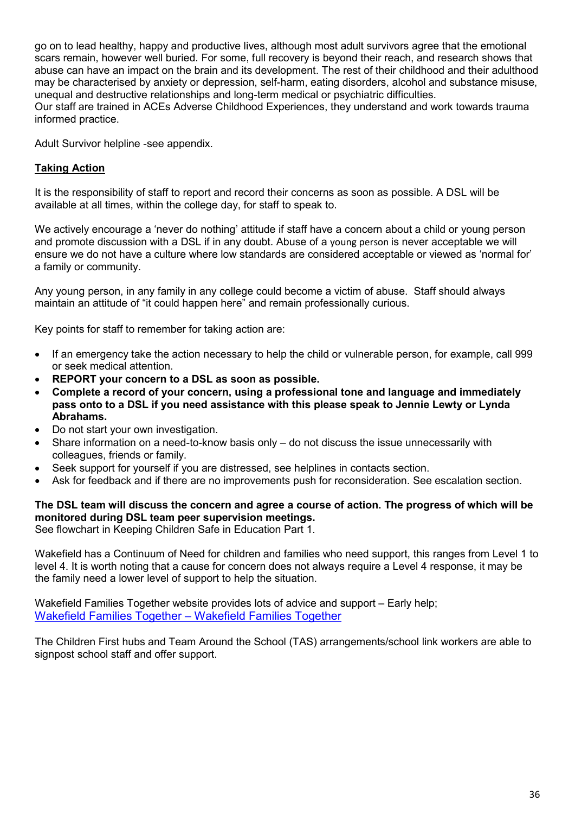go on to lead healthy, happy and productive lives, although most adult survivors agree that the emotional scars remain, however well buried. For some, full recovery is beyond their reach, and research shows that abuse can have an impact on the brain and its development. The rest of their childhood and their adulthood may be characterised by anxiety or depression, self-harm, eating disorders, alcohol and substance misuse, unequal and destructive relationships and long-term medical or psychiatric difficulties. Our staff are trained in ACEs Adverse Childhood Experiences, they understand and work towards trauma informed practice.

Adult Survivor helpline -see appendix.

#### **Taking Action**

It is the responsibility of staff to report and record their concerns as soon as possible. A DSL will be available at all times, within the college day, for staff to speak to.

We actively encourage a 'never do nothing' attitude if staff have a concern about a child or young person and promote discussion with a DSL if in any doubt. Abuse of a young person is never acceptable we will ensure we do not have a culture where low standards are considered acceptable or viewed as 'normal for' a family or community.

Any young person, in any family in any college could become a victim of abuse. Staff should always maintain an attitude of "it could happen here" and remain professionally curious.

Key points for staff to remember for taking action are:

- If an emergency take the action necessary to help the child or vulnerable person, for example, call 999 or seek medical attention.
- **REPORT your concern to a DSL as soon as possible.**
- **Complete a record of your concern, using a professional tone and language and immediately pass onto to a DSL if you need assistance with this please speak to Jennie Lewty or Lynda Abrahams.**
- Do not start your own investigation.
- Share information on a need-to-know basis only do not discuss the issue unnecessarily with colleagues, friends or family.
- Seek support for yourself if you are distressed, see helplines in contacts section.
- Ask for feedback and if there are no improvements push for reconsideration. See escalation section.

#### **The DSL team will discuss the concern and agree a course of action. The progress of which will be monitored during DSL team peer supervision meetings.**

See flowchart in Keeping Children Safe in Education Part 1.

Wakefield has a Continuum of Need for children and families who need support, this ranges from Level 1 to level 4. It is worth noting that a cause for concern does not always require a Level 4 response, it may be the family need a lower level of support to help the situation.

Wakefield Families Together website provides lots of advice and support – Early help; [Wakefield Families Together – Wakefield Families Together](https://www.wakefieldfamiliestogether.co.uk/)

The Children First hubs and Team Around the School (TAS) arrangements/school link workers are able to signpost school staff and offer support.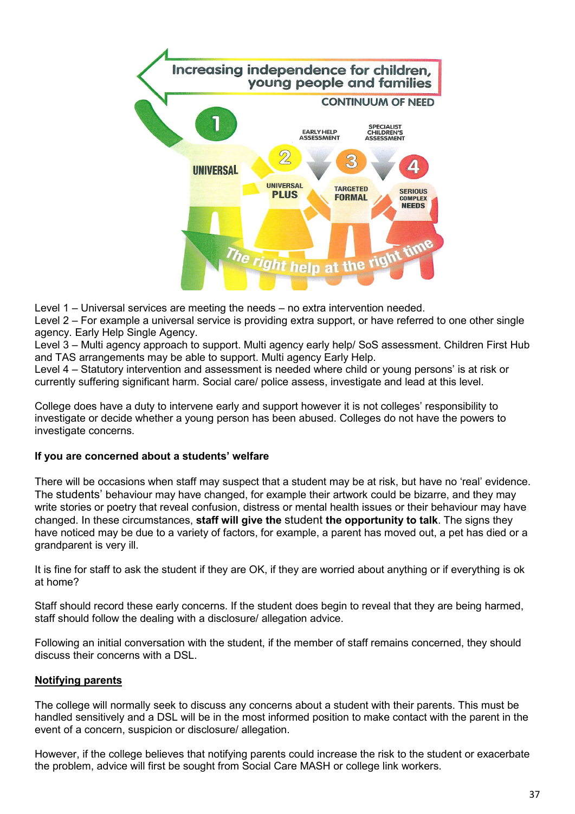

Level 1 – Universal services are meeting the needs – no extra intervention needed.

Level 2 – For example a universal service is providing extra support, or have referred to one other single agency. Early Help Single Agency.

Level 3 – Multi agency approach to support. Multi agency early help/ SoS assessment. Children First Hub and TAS arrangements may be able to support. Multi agency Early Help.

Level 4 – Statutory intervention and assessment is needed where child or young persons' is at risk or currently suffering significant harm. Social care/ police assess, investigate and lead at this level.

College does have a duty to intervene early and support however it is not colleges' responsibility to investigate or decide whether a young person has been abused. Colleges do not have the powers to investigate concerns.

#### **If you are concerned about a students' welfare**

There will be occasions when staff may suspect that a student may be at risk, but have no 'real' evidence. The students' behaviour may have changed, for example their artwork could be bizarre, and they may write stories or poetry that reveal confusion, distress or mental health issues or their behaviour may have changed. In these circumstances, **staff will give the** student **the opportunity to talk**. The signs they have noticed may be due to a variety of factors, for example, a parent has moved out, a pet has died or a grandparent is very ill.

It is fine for staff to ask the student if they are OK, if they are worried about anything or if everything is ok at home?

Staff should record these early concerns. If the student does begin to reveal that they are being harmed, staff should follow the dealing with a disclosure/ allegation advice.

Following an initial conversation with the student, if the member of staff remains concerned, they should discuss their concerns with a DSL.

#### **Notifying parents**

The college will normally seek to discuss any concerns about a student with their parents. This must be handled sensitively and a DSL will be in the most informed position to make contact with the parent in the event of a concern, suspicion or disclosure/ allegation.

However, if the college believes that notifying parents could increase the risk to the student or exacerbate the problem, advice will first be sought from Social Care MASH or college link workers.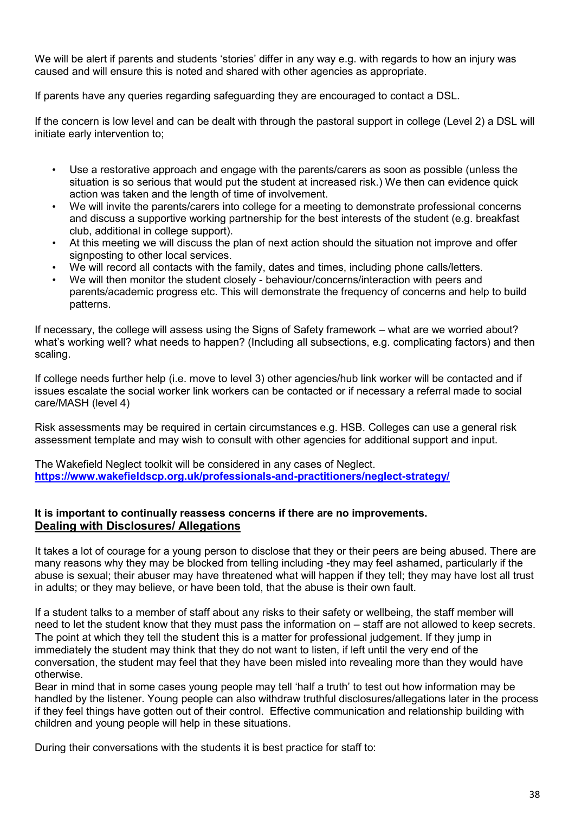We will be alert if parents and students 'stories' differ in any way e.g. with regards to how an injury was caused and will ensure this is noted and shared with other agencies as appropriate.

If parents have any queries regarding safeguarding they are encouraged to contact a DSL.

If the concern is low level and can be dealt with through the pastoral support in college (Level 2) a DSL will initiate early intervention to;

- Use a restorative approach and engage with the parents/carers as soon as possible (unless the situation is so serious that would put the student at increased risk.) We then can evidence quick action was taken and the length of time of involvement.
- We will invite the parents/carers into college for a meeting to demonstrate professional concerns and discuss a supportive working partnership for the best interests of the student (e.g. breakfast club, additional in college support).
- At this meeting we will discuss the plan of next action should the situation not improve and offer signposting to other local services.
- We will record all contacts with the family, dates and times, including phone calls/letters.
- We will then monitor the student closely behaviour/concerns/interaction with peers and parents/academic progress etc. This will demonstrate the frequency of concerns and help to build patterns.

If necessary, the college will assess using the Signs of Safety framework – what are we worried about? what's working well? what needs to happen? (Including all subsections, e.g. complicating factors) and then scaling.

If college needs further help (i.e. move to level 3) other agencies/hub link worker will be contacted and if issues escalate the social worker link workers can be contacted or if necessary a referral made to social care/MASH (level 4)

Risk assessments may be required in certain circumstances e.g. HSB. Colleges can use a general risk assessment template and may wish to consult with other agencies for additional support and input.

The Wakefield Neglect toolkit will be considered in any cases of Neglect. **<https://www.wakefieldscp.org.uk/professionals-and-practitioners/neglect-strategy/>**

#### **It is important to continually reassess concerns if there are no improvements. Dealing with Disclosures/ Allegations**

It takes a lot of courage for a young person to disclose that they or their peers are being abused. There are many reasons why they may be blocked from telling including -they may feel ashamed, particularly if the abuse is sexual; their abuser may have threatened what will happen if they tell; they may have lost all trust in adults; or they may believe, or have been told, that the abuse is their own fault.

If a student talks to a member of staff about any risks to their safety or wellbeing, the staff member will need to let the student know that they must pass the information on – staff are not allowed to keep secrets. The point at which they tell the student this is a matter for professional judgement. If they jump in immediately the student may think that they do not want to listen, if left until the very end of the conversation, the student may feel that they have been misled into revealing more than they would have otherwise.

Bear in mind that in some cases young people may tell 'half a truth' to test out how information may be handled by the listener. Young people can also withdraw truthful disclosures/allegations later in the process if they feel things have gotten out of their control. Effective communication and relationship building with children and young people will help in these situations.

During their conversations with the students it is best practice for staff to: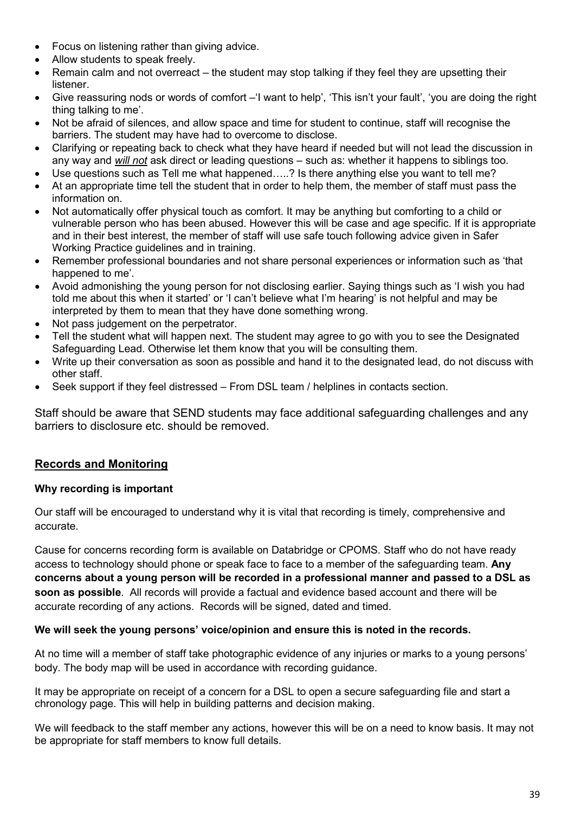- Focus on listening rather than giving advice.
- Allow students to speak freely.
- Remain calm and not overreact the student may stop talking if they feel they are upsetting their listener.
- Give reassuring nods or words of comfort –'I want to help', 'This isn't your fault', 'you are doing the right thing talking to me'.
- Not be afraid of silences, and allow space and time for student to continue, staff will recognise the barriers. The student may have had to overcome to disclose.
- Clarifying or repeating back to check what they have heard if needed but will not lead the discussion in any way and *will not* ask direct or leading questions – such as: whether it happens to siblings too.
- Use questions such as Tell me what happened.....? Is there anything else you want to tell me?
- At an appropriate time tell the student that in order to help them, the member of staff must pass the information on.
- Not automatically offer physical touch as comfort. It may be anything but comforting to a child or vulnerable person who has been abused. However this will be case and age specific. If it is appropriate and in their best interest, the member of staff will use safe touch following advice given in Safer Working Practice guidelines and in training.
- Remember professional boundaries and not share personal experiences or information such as 'that happened to me'.
- Avoid admonishing the young person for not disclosing earlier. Saying things such as 'I wish you had told me about this when it started' or 'I can't believe what I'm hearing' is not helpful and may be interpreted by them to mean that they have done something wrong.
- Not pass judgement on the perpetrator.
- Tell the student what will happen next. The student may agree to go with you to see the Designated Safeguarding Lead. Otherwise let them know that you will be consulting them.
- Write up their conversation as soon as possible and hand it to the designated lead, do not discuss with other staff.
- Seek support if they feel distressed From DSL team / helplines in contacts section.

Staff should be aware that SEND students may face additional safeguarding challenges and any barriers to disclosure etc. should be removed.

#### **Records and Monitoring**

#### **Why recording is important**

Our staff will be encouraged to understand why it is vital that recording is timely, comprehensive and accurate.

Cause for concerns recording form is available on Databridge or CPOMS. Staff who do not have ready access to technology should phone or speak face to face to a member of the safeguarding team. **Any concerns about a young person will be recorded in a professional manner and passed to a DSL as soon as possible**. All records will provide a factual and evidence based account and there will be accurate recording of any actions. Records will be signed, dated and timed.

#### **We will seek the young persons' voice/opinion and ensure this is noted in the records.**

At no time will a member of staff take photographic evidence of any injuries or marks to a young persons' body. The body map will be used in accordance with recording guidance.

It may be appropriate on receipt of a concern for a DSL to open a secure safeguarding file and start a chronology page. This will help in building patterns and decision making.

We will feedback to the staff member any actions, however this will be on a need to know basis. It may not be appropriate for staff members to know full details.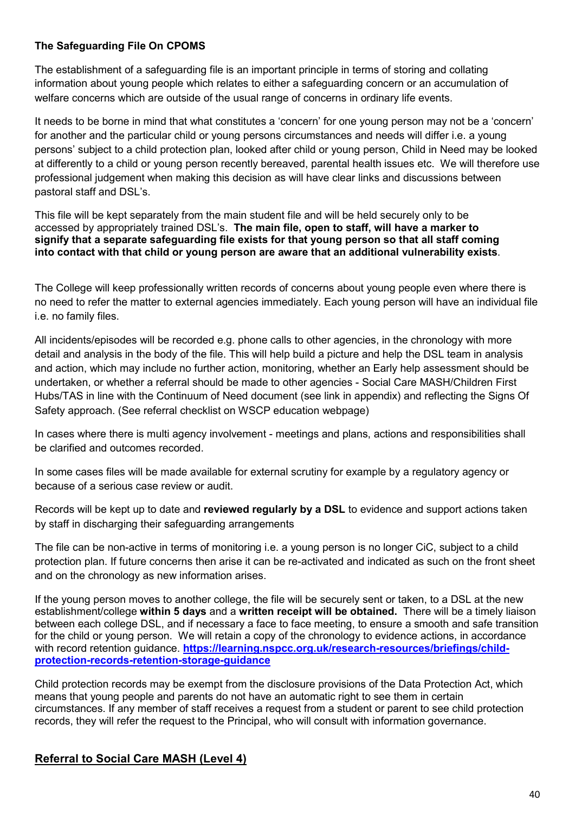#### **The Safeguarding File On CPOMS**

The establishment of a safeguarding file is an important principle in terms of storing and collating information about young people which relates to either a safeguarding concern or an accumulation of welfare concerns which are outside of the usual range of concerns in ordinary life events.

It needs to be borne in mind that what constitutes a 'concern' for one young person may not be a 'concern' for another and the particular child or young persons circumstances and needs will differ i.e. a young persons' subject to a child protection plan, looked after child or young person, Child in Need may be looked at differently to a child or young person recently bereaved, parental health issues etc. We will therefore use professional judgement when making this decision as will have clear links and discussions between pastoral staff and DSL's.

This file will be kept separately from the main student file and will be held securely only to be accessed by appropriately trained DSL's. **The main file, open to staff, will have a marker to signify that a separate safeguarding file exists for that young person so that all staff coming into contact with that child or young person are aware that an additional vulnerability exists**.

The College will keep professionally written records of concerns about young people even where there is no need to refer the matter to external agencies immediately. Each young person will have an individual file i.e. no family files.

All incidents/episodes will be recorded e.g. phone calls to other agencies, in the chronology with more detail and analysis in the body of the file. This will help build a picture and help the DSL team in analysis and action, which may include no further action, monitoring, whether an Early help assessment should be undertaken, or whether a referral should be made to other agencies - Social Care MASH/Children First Hubs/TAS in line with the Continuum of Need document (see link in appendix) and reflecting the Signs Of Safety approach. (See referral checklist on WSCP education webpage)

In cases where there is multi agency involvement - meetings and plans, actions and responsibilities shall be clarified and outcomes recorded.

In some cases files will be made available for external scrutiny for example by a regulatory agency or because of a serious case review or audit.

Records will be kept up to date and **reviewed regularly by a DSL** to evidence and support actions taken by staff in discharging their safeguarding arrangements

The file can be non-active in terms of monitoring i.e. a young person is no longer CiC, subject to a child protection plan. If future concerns then arise it can be re-activated and indicated as such on the front sheet and on the chronology as new information arises.

If the young person moves to another college, the file will be securely sent or taken, to a DSL at the new establishment/college **within 5 days** and a **written receipt will be obtained.** There will be a timely liaison between each college DSL, and if necessary a face to face meeting, to ensure a smooth and safe transition for the child or young person. We will retain a copy of the chronology to evidence actions, in accordance with record retention guidance. [https://learning.nspcc.org.uk/research-resources/briefings/child](https://learning.nspcc.org.uk/research-resources/briefings/child-protection-records-retention-storage-guidance)**[protection-records-retention-storage-guidance](https://learning.nspcc.org.uk/research-resources/briefings/child-protection-records-retention-storage-guidance)**

Child protection records may be exempt from the disclosure provisions of the Data Protection Act, which means that young people and parents do not have an automatic right to see them in certain circumstances. If any member of staff receives a request from a student or parent to see child protection records, they will refer the request to the Principal, who will consult with information governance.

#### **Referral to Social Care MASH (Level 4)**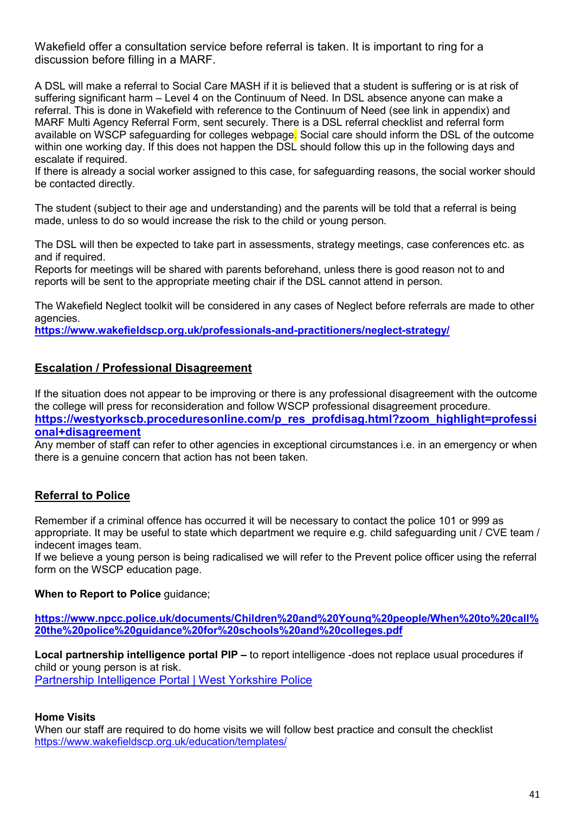Wakefield offer a consultation service before referral is taken. It is important to ring for a discussion before filling in a MARF.

A DSL will make a referral to Social Care MASH if it is believed that a student is suffering or is at risk of suffering significant harm – Level 4 on the Continuum of Need. In DSL absence anyone can make a referral. This is done in Wakefield with reference to the Continuum of Need (see link in appendix) and MARF Multi Agency Referral Form, sent securely. There is a DSL referral checklist and referral form available on WSCP safeguarding for colleges webpage. Social care should inform the DSL of the outcome within one working day. If this does not happen the DSL should follow this up in the following days and escalate if required.

If there is already a social worker assigned to this case, for safeguarding reasons, the social worker should be contacted directly.

The student (subject to their age and understanding) and the parents will be told that a referral is being made, unless to do so would increase the risk to the child or young person.

The DSL will then be expected to take part in assessments, strategy meetings, case conferences etc. as and if required.

Reports for meetings will be shared with parents beforehand, unless there is good reason not to and reports will be sent to the appropriate meeting chair if the DSL cannot attend in person.

The Wakefield Neglect toolkit will be considered in any cases of Neglect before referrals are made to other agencies.

**<https://www.wakefieldscp.org.uk/professionals-and-practitioners/neglect-strategy/>**

#### **Escalation / Professional Disagreement**

If the situation does not appear to be improving or there is any professional disagreement with the outcome the college will press for reconsideration and follow WSCP professional disagreement procedure. **[https://westyorkscb.proceduresonline.com/p\\_res\\_profdisag.html?zoom\\_highlight=professi](https://westyorkscb.proceduresonline.com/p_res_profdisag.html?zoom_highlight=professional+disagreement)**

#### **[onal+disagreement](https://westyorkscb.proceduresonline.com/p_res_profdisag.html?zoom_highlight=professional+disagreement)**

Any member of staff can refer to other agencies in exceptional circumstances i.e. in an emergency or when there is a genuine concern that action has not been taken.

#### **Referral to Police**

Remember if a criminal offence has occurred it will be necessary to contact the police 101 or 999 as appropriate. It may be useful to state which department we require e.g. child safeguarding unit / CVE team / indecent images team.

If we believe a young person is being radicalised we will refer to the Prevent police officer using the referral form on the WSCP education page.

#### **When to Report to Police guidance:**

**[https://www.npcc.police.uk/documents/Children%20and%20Young%20people/When%20to%20call%](https://www.npcc.police.uk/documents/Children%20and%20Young%20people/When%20to%20call%20the%20police%20guidance%20for%20schools%20and%20colleges.pdf) [20the%20police%20guidance%20for%20schools%20and%20colleges.pdf](https://www.npcc.police.uk/documents/Children%20and%20Young%20people/When%20to%20call%20the%20police%20guidance%20for%20schools%20and%20colleges.pdf)**

**Local partnership intelligence portal PIP –** to report intelligence -does not replace usual procedures if child or young person is at risk. [Partnership Intelligence Portal | West Yorkshire Police](https://www.westyorkshire.police.uk/partnership-intelligence-portal)

#### **Home Visits**

When our staff are required to do home visits we will follow best practice and consult the checklist <https://www.wakefieldscp.org.uk/education/templates/>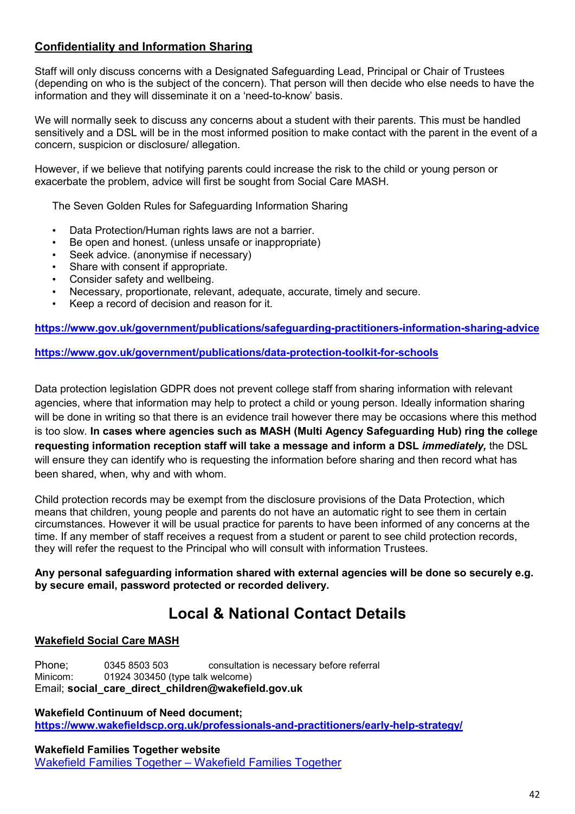#### **Confidentiality and Information Sharing**

Staff will only discuss concerns with a Designated Safeguarding Lead, Principal or Chair of Trustees (depending on who is the subject of the concern). That person will then decide who else needs to have the information and they will disseminate it on a 'need-to-know' basis.

We will normally seek to discuss any concerns about a student with their parents. This must be handled sensitively and a DSL will be in the most informed position to make contact with the parent in the event of a concern, suspicion or disclosure/ allegation.

However, if we believe that notifying parents could increase the risk to the child or young person or exacerbate the problem, advice will first be sought from Social Care MASH.

The Seven Golden Rules for Safeguarding Information Sharing

- Data Protection/Human rights laws are not a barrier.
- Be open and honest. (unless unsafe or inappropriate)
- Seek advice. (anonymise if necessary)
- Share with consent if appropriate.
- Consider safety and wellbeing.
- Necessary, proportionate, relevant, adequate, accurate, timely and secure.
- Keep a record of decision and reason for it.

**<https://www.gov.uk/government/publications/safeguarding-practitioners-information-sharing-advice>**

**<https://www.gov.uk/government/publications/data-protection-toolkit-for-schools>**

Data protection legislation GDPR does not prevent college staff from sharing information with relevant agencies, where that information may help to protect a child or young person. Ideally information sharing will be done in writing so that there is an evidence trail however there may be occasions where this method is too slow. **In cases where agencies such as MASH (Multi Agency Safeguarding Hub) ring the college requesting information reception staff will take a message and inform a DSL** *immediately,* the DSL will ensure they can identify who is requesting the information before sharing and then record what has been shared, when, why and with whom.

Child protection records may be exempt from the disclosure provisions of the Data Protection, which means that children, young people and parents do not have an automatic right to see them in certain circumstances. However it will be usual practice for parents to have been informed of any concerns at the time. If any member of staff receives a request from a student or parent to see child protection records, they will refer the request to the Principal who will consult with information Trustees.

**Any personal safeguarding information shared with external agencies will be done so securely e.g. by secure email, password protected or recorded delivery.**

## **Local & National Contact Details**

#### **Wakefield Social Care MASH**

Phone; 0345 8503 503 consultation is necessary before referral Minicom: 01924 303450 (type talk welcome) Email; **social\_care\_direct\_children@wakefield.gov.uk**

**Wakefield Continuum of Need document; <https://www.wakefieldscp.org.uk/professionals-and-practitioners/early-help-strategy/>**

**Wakefield Families Together website** [Wakefield Families Together – Wakefield Families Together](https://www.wakefieldfamiliestogether.co.uk/)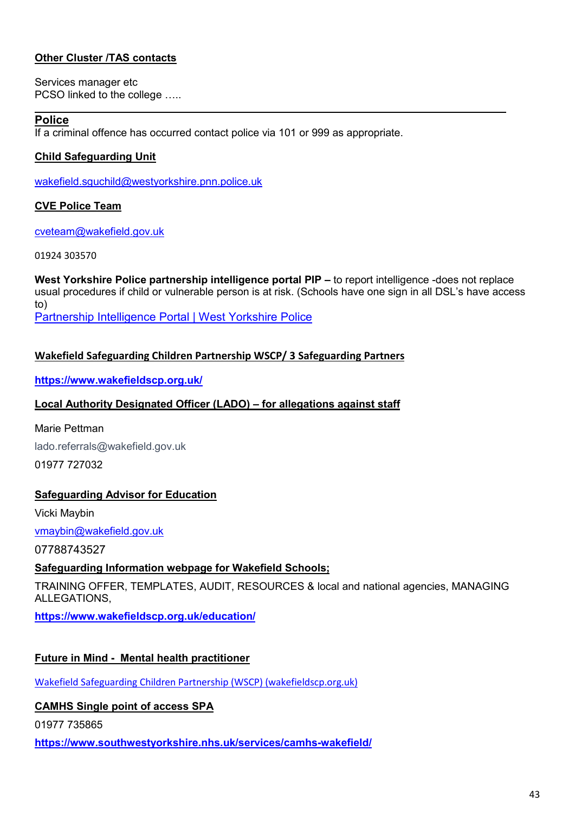#### **Other Cluster /TAS contacts**

Services manager etc PCSO linked to the college …..

#### **Police**

If a criminal offence has occurred contact police via 101 or 999 as appropriate.

#### **Child Safeguarding Unit**

wakefield.sguchild@westyorkshire.pnn.police.uk

#### **CVE Police Team**

[cveteam@wakefield.gov.uk](mailto:cveteam@wakefield.gov.uk)

01924 303570

**West Yorkshire Police partnership intelligence portal PIP –** to report intelligence -does not replace usual procedures if child or vulnerable person is at risk. (Schools have one sign in all DSL's have access to)

[Partnership Intelligence Portal | West Yorkshire Police](https://www.westyorkshire.police.uk/partnership-intelligence-portal)

#### **Wakefield Safeguarding Children Partnership WSCP/ 3 Safeguarding Partners**

**<https://www.wakefieldscp.org.uk/>**

#### **Local Authority Designated Officer (LADO) – for allegations against staff**

Marie Pettman lado.referrals@wakefield.gov.uk 01977 727032

#### **Safeguarding Advisor for Education**

Vicki Maybin

vmaybin@wakefield.gov.uk

07788743527

#### **Safeguarding Information webpage for Wakefield Schools;**

TRAINING OFFER, TEMPLATES, AUDIT, RESOURCES & local and national agencies, MANAGING ALLEGATIONS,

**<https://www.wakefieldscp.org.uk/education/>**

#### **Future in Mind - Mental health practitioner**

[Wakefield Safeguarding Children Partnership \(WSCP\) \(wakefieldscp.org.uk\)](https://www.wakefieldscp.org.uk/)

#### **CAMHS Single point of access SPA**

01977 735865

**https://www.southwestyorkshire.nhs.uk/services/camhs-wakefield/**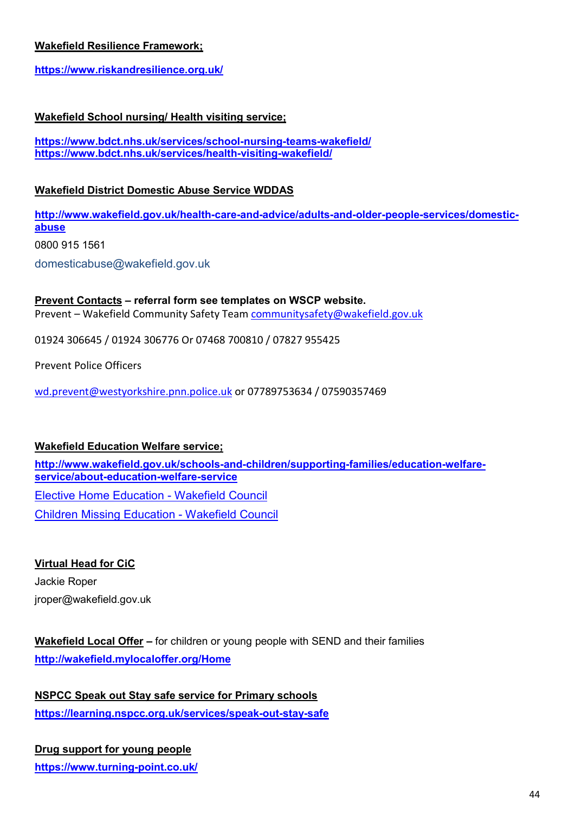#### **Wakefield Resilience Framework;**

**<https://www.riskandresilience.org.uk/>**

#### **Wakefield School nursing/ Health visiting service;**

**<https://www.bdct.nhs.uk/services/school-nursing-teams-wakefield/> <https://www.bdct.nhs.uk/services/health-visiting-wakefield/>**

#### **Wakefield District Domestic Abuse Service WDDAS**

**[http://www.wakefield.gov.uk/health-care-and-advice/adults-and-older-people-services/domestic](http://www.wakefield.gov.uk/health-care-and-advice/adults-and-older-people-services/domestic-abuse)[abuse](http://www.wakefield.gov.uk/health-care-and-advice/adults-and-older-people-services/domestic-abuse)**

0800 915 1561

domesticabuse@wakefield.gov.uk

#### **Prevent Contacts – referral form see templates on WSCP website.** Prevent – Wakefield Community Safety Team [communitysafety@wakefield.gov.uk](mailto:communitysafety@wakefield.gov.uk)

01924 306645 / 01924 306776 Or 07468 700810 / 07827 955425

Prevent Police Officers

[wd.prevent@westyorkshire.pnn.police.uk](mailto:wd.prevent@westyorkshire.pnn.police.uk) or 07789753634 / 07590357469

#### **Wakefield Education Welfare service;**

**[http://www.wakefield.gov.uk/schools-and-children/supporting-families/education-welfare](http://www.wakefield.gov.uk/schools-and-children/supporting-families/education-welfare-service/about-education-welfare-service)[service/about-education-welfare-service](http://www.wakefield.gov.uk/schools-and-children/supporting-families/education-welfare-service/about-education-welfare-service)** [Elective Home Education - Wakefield Council](https://www.wakefield.gov.uk/schools-and-children/supporting-families/education-welfare-service/elective-home-education) [Children Missing Education - Wakefield Council](https://www.wakefield.gov.uk/schools-and-children/supporting-families/education-welfare-service/children-missing-education)

#### **Virtual Head for CiC**

Jackie Roper jroper@wakefield.gov.uk

#### **Wakefield Local Offer –** for children or young people with SEND and their families **<http://wakefield.mylocaloffer.org/Home>**

**NSPCC Speak out Stay safe service for Primary schools <https://learning.nspcc.org.uk/services/speak-out-stay-safe>**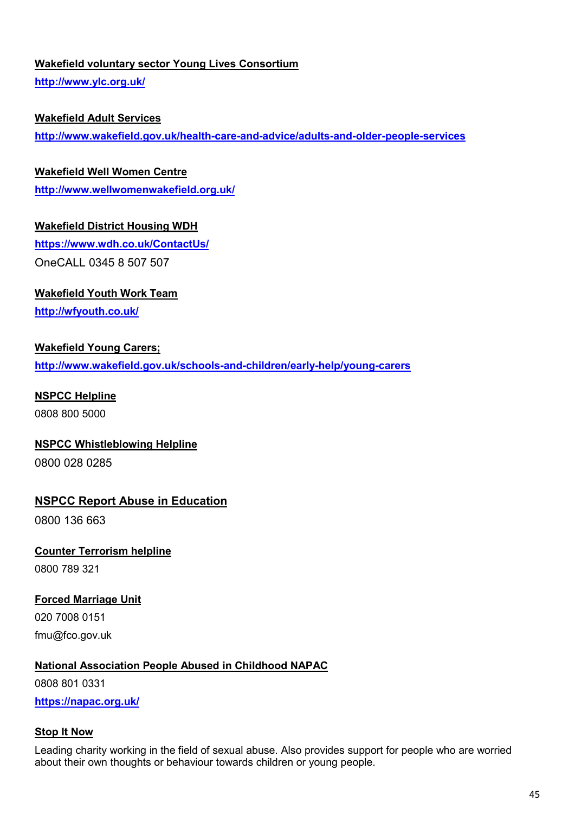#### **Wakefield voluntary sector Young Lives Consortium**

**<http://www.ylc.org.uk/>**

#### **Wakefield Adult Services**

**<http://www.wakefield.gov.uk/health-care-and-advice/adults-and-older-people-services>**

#### **Wakefield Well Women Centre**

**<http://www.wellwomenwakefield.org.uk/>**

#### **Wakefield District Housing WDH**

**<https://www.wdh.co.uk/ContactUs/>** OneCALL 0345 8 507 507

#### **Wakefield Youth Work Team**

**<http://wfyouth.co.uk/>**

#### **Wakefield Young Carers;**

**<http://www.wakefield.gov.uk/schools-and-children/early-help/young-carers>**

#### **NSPCC Helpline**

0808 800 5000

#### **NSPCC Whistleblowing Helpline**

0800 028 0285

#### **NSPCC Report Abuse in Education**

0800 136 663

#### **Counter Terrorism helpline** 0800 789 321

#### **Forced Marriage Unit**

020 7008 0151 fmu@fco.gov.uk

#### **National Association People Abused in Childhood NAPAC**

0808 801 0331

**<https://napac.org.uk/>**

#### **Stop It Now**

Leading charity working in the field of sexual abuse. Also provides support for people who are worried about their own thoughts or behaviour towards children or young people.